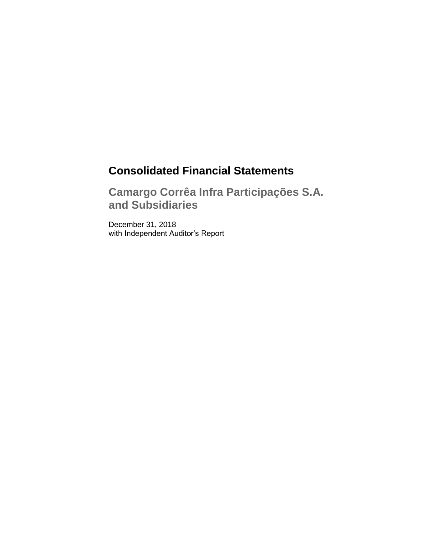# **Consolidated Financial Statements**

**Camargo Corrêa Infra Participações S.A. and Subsidiaries**

December 31, 2018 with Independent Auditor's Report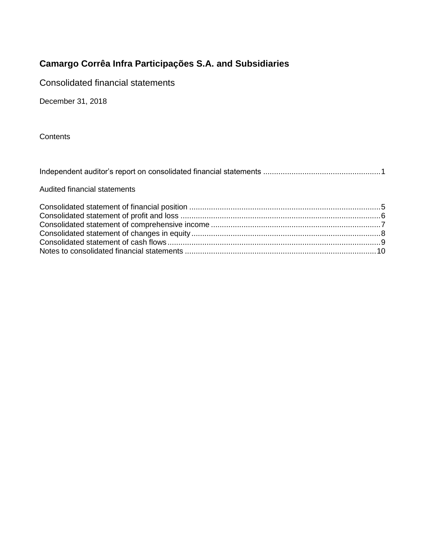Consolidated financial statements

December 31, 2018

**Contents** 

Independent auditor's report on consolidated financial statements ......................................................1

### Audited financial statements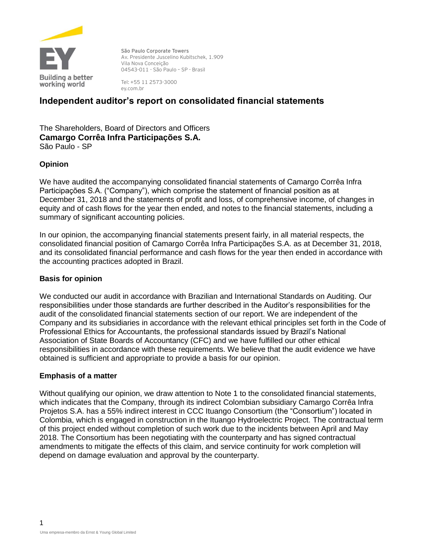

**São Paulo Corporate Towers** Av. Presidente Juscelino Kubitschek, 1.909 Vila Nova Conceição 04543-011 - São Paulo – SP - Brasil

Tel: +55 11 2573-3000 ey.com.br

# **Independent auditor's report on consolidated financial statements**

The Shareholders, Board of Directors and Officers **Camargo Corrêa Infra Participações S.A.** São Paulo - SP

### **Opinion**

We have audited the accompanying consolidated financial statements of Camargo Corrêa Infra Participações S.A. ("Company"), which comprise the statement of financial position as at December 31, 2018 and the statements of profit and loss, of comprehensive income, of changes in equity and of cash flows for the year then ended, and notes to the financial statements, including a summary of significant accounting policies.

In our opinion, the accompanying financial statements present fairly, in all material respects, the consolidated financial position of Camargo Corrêa Infra Participações S.A. as at December 31, 2018, and its consolidated financial performance and cash flows for the year then ended in accordance with the accounting practices adopted in Brazil.

### **Basis for opinion**

We conducted our audit in accordance with Brazilian and International Standards on Auditing. Our responsibilities under those standards are further described in the Auditor's responsibilities for the audit of the consolidated financial statements section of our report. We are independent of the Company and its subsidiaries in accordance with the relevant ethical principles set forth in the Code of Professional Ethics for Accountants, the professional standards issued by Brazil's National Association of State Boards of Accountancy (CFC) and we have fulfilled our other ethical responsibilities in accordance with these requirements. We believe that the audit evidence we have obtained is sufficient and appropriate to provide a basis for our opinion.

### **Emphasis of a matter**

Without qualifying our opinion, we draw attention to Note 1 to the consolidated financial statements, which indicates that the Company, through its indirect Colombian subsidiary Camargo Corrêa Infra Projetos S.A. has a 55% indirect interest in CCC Ituango Consortium (the "Consortium") located in Colombia, which is engaged in construction in the Ituango Hydroelectric Project. The contractual term of this project ended without completion of such work due to the incidents between April and May 2018. The Consortium has been negotiating with the counterparty and has signed contractual amendments to mitigate the effects of this claim, and service continuity for work completion will depend on damage evaluation and approval by the counterparty.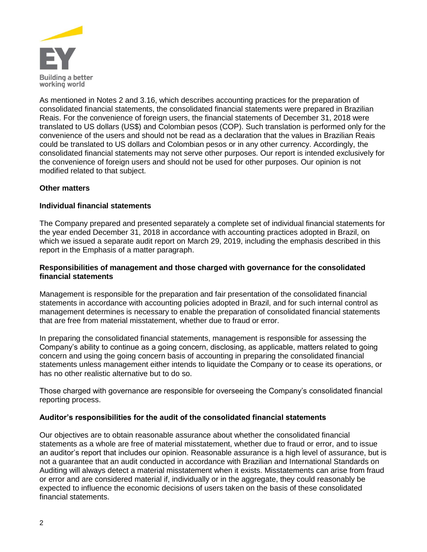

As mentioned in Notes 2 and 3.16, which describes accounting practices for the preparation of consolidated financial statements, the consolidated financial statements were prepared in Brazilian Reais. For the convenience of foreign users, the financial statements of December 31, 2018 were translated to US dollars (US\$) and Colombian pesos (COP). Such translation is performed only for the convenience of the users and should not be read as a declaration that the values in Brazilian Reais could be translated to US dollars and Colombian pesos or in any other currency. Accordingly, the consolidated financial statements may not serve other purposes. Our report is intended exclusively for the convenience of foreign users and should not be used for other purposes. Our opinion is not modified related to that subject.

### **Other matters**

### **Individual financial statements**

The Company prepared and presented separately a complete set of individual financial statements for the year ended December 31, 2018 in accordance with accounting practices adopted in Brazil, on which we issued a separate audit report on March 29, 2019, including the emphasis described in this report in the Emphasis of a matter paragraph.

#### **Responsibilities of management and those charged with governance for the consolidated financial statements**

Management is responsible for the preparation and fair presentation of the consolidated financial statements in accordance with accounting policies adopted in Brazil, and for such internal control as management determines is necessary to enable the preparation of consolidated financial statements that are free from material misstatement, whether due to fraud or error.

In preparing the consolidated financial statements, management is responsible for assessing the Company's ability to continue as a going concern, disclosing, as applicable, matters related to going concern and using the going concern basis of accounting in preparing the consolidated financial statements unless management either intends to liquidate the Company or to cease its operations, or has no other realistic alternative but to do so.

Those charged with governance are responsible for overseeing the Company's consolidated financial reporting process.

#### **Auditor's responsibilities for the audit of the consolidated financial statements**

Our objectives are to obtain reasonable assurance about whether the consolidated financial statements as a whole are free of material misstatement, whether due to fraud or error, and to issue an auditor's report that includes our opinion. Reasonable assurance is a high level of assurance, but is not a guarantee that an audit conducted in accordance with Brazilian and International Standards on Auditing will always detect a material misstatement when it exists. Misstatements can arise from fraud or error and are considered material if, individually or in the aggregate, they could reasonably be expected to influence the economic decisions of users taken on the basis of these consolidated financial statements.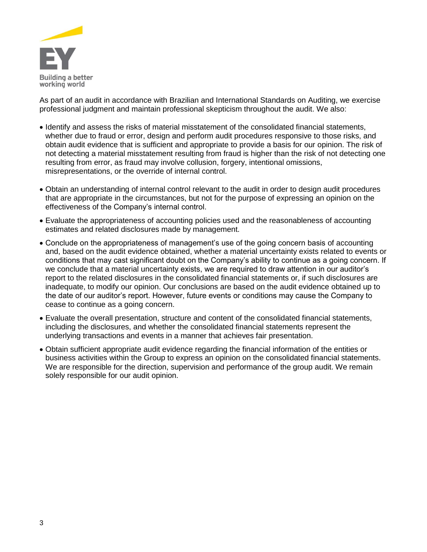

As part of an audit in accordance with Brazilian and International Standards on Auditing, we exercise professional judgment and maintain professional skepticism throughout the audit. We also:

- Identify and assess the risks of material misstatement of the consolidated financial statements, whether due to fraud or error, design and perform audit procedures responsive to those risks, and obtain audit evidence that is sufficient and appropriate to provide a basis for our opinion. The risk of not detecting a material misstatement resulting from fraud is higher than the risk of not detecting one resulting from error, as fraud may involve collusion, forgery, intentional omissions, misrepresentations, or the override of internal control.
- Obtain an understanding of internal control relevant to the audit in order to design audit procedures that are appropriate in the circumstances, but not for the purpose of expressing an opinion on the effectiveness of the Company's internal control.
- Evaluate the appropriateness of accounting policies used and the reasonableness of accounting estimates and related disclosures made by management.
- Conclude on the appropriateness of management's use of the going concern basis of accounting and, based on the audit evidence obtained, whether a material uncertainty exists related to events or conditions that may cast significant doubt on the Company's ability to continue as a going concern. If we conclude that a material uncertainty exists, we are required to draw attention in our auditor's report to the related disclosures in the consolidated financial statements or, if such disclosures are inadequate, to modify our opinion. Our conclusions are based on the audit evidence obtained up to the date of our auditor's report. However, future events or conditions may cause the Company to cease to continue as a going concern.
- Evaluate the overall presentation, structure and content of the consolidated financial statements, including the disclosures, and whether the consolidated financial statements represent the underlying transactions and events in a manner that achieves fair presentation.
- Obtain sufficient appropriate audit evidence regarding the financial information of the entities or business activities within the Group to express an opinion on the consolidated financial statements. We are responsible for the direction, supervision and performance of the group audit. We remain solely responsible for our audit opinion.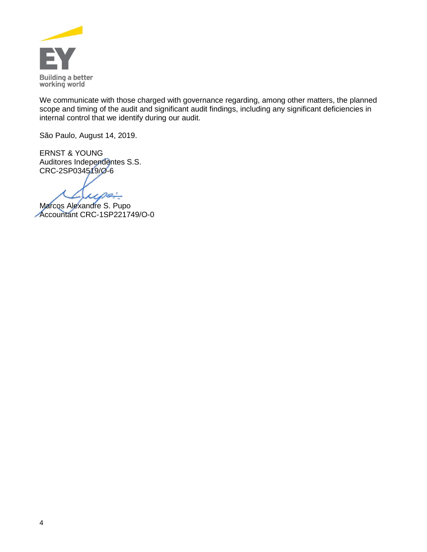

We communicate with those charged with governance regarding, among other matters, the planned scope and timing of the audit and significant audit findings, including any significant deficiencies in internal control that we identify during our audit.

São Paulo, August 14, 2019.

ERNST & YOUNG Auditores Independentes S.S. CRC-2SP034519/O-6

 $20^+$  $\overline{\mathscr{L}}$ 

Marcos Alexandre S. Pupo Accountant CRC-1SP221749/O-0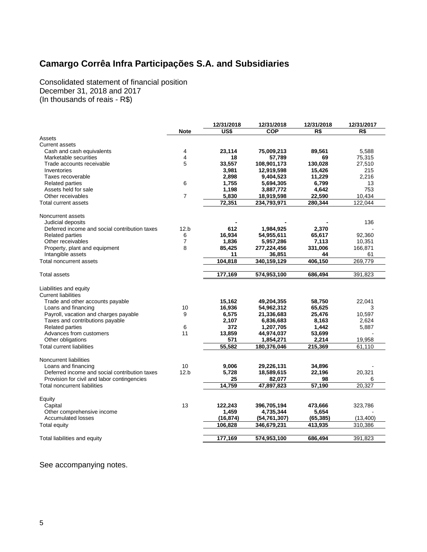Consolidated statement of financial position December 31, 2018 and 2017 (In thousands of reais - R\$)

|                                               |             | 12/31/2018 | 12/31/2018     | 12/31/2018 | 12/31/2017 |
|-----------------------------------------------|-------------|------------|----------------|------------|------------|
|                                               | <b>Note</b> | US\$       | <b>COP</b>     | R\$        | R\$        |
| Assets                                        |             |            |                |            |            |
| <b>Current assets</b>                         |             |            |                |            |            |
| Cash and cash equivalents                     | 4           | 23,114     | 75,009,213     | 89,561     | 5,588      |
| Marketable securities                         | 4           | 18         | 57,789         | 69         | 75,315     |
| Trade accounts receivable                     | 5           | 33,557     | 108,901,173    | 130,028    | 27,510     |
| Inventories                                   |             | 3,981      | 12,919,598     | 15,426     | 215        |
| Taxes recoverable                             |             | 2,898      | 9,404,523      | 11,229     | 2,216      |
| <b>Related parties</b>                        | 6           | 1,755      | 5,694,305      | 6,799      | 13         |
| Assets held for sale                          |             | 1,198      | 3,887,772      | 4,642      | 753        |
| Other receivables                             | 7           | 5,830      | 18,919,598     | 22,590     | 10,434     |
| Total current assets                          |             | 72,351     | 234,793,971    | 280,344    | 122,044    |
| Noncurrent assets                             |             |            |                |            |            |
| Judicial deposits                             |             |            |                |            | 136        |
| Deferred income and social contribution taxes | 12.b        | 612        | 1,984,925      | 2,370      |            |
| <b>Related parties</b>                        | 6           | 16,934     | 54,955,611     | 65,617     | 92,360     |
| Other receivables                             | 7           | 1,836      | 5,957,286      | 7,113      | 10,351     |
| Property, plant and equipment                 | 8           | 85,425     | 277,224,456    | 331,006    | 166,871    |
| Intangible assets                             |             | 11         | 36,851         | 44         | 61         |
| Total noncurrent assets                       |             | 104,818    | 340,159,129    | 406.150    | 269.779    |
| <b>Total assets</b>                           |             | 177,169    | 574,953,100    | 686,494    | 391,823    |
| Liabilities and equity                        |             |            |                |            |            |
| <b>Current liabilities</b>                    |             |            |                |            |            |
| Trade and other accounts payable              |             | 15,162     | 49,204,355     | 58,750     | 22,041     |
| Loans and financing                           | 10          | 16,936     | 54,962,312     | 65,625     |            |
| Payroll, vacation and charges payable         | 9           | 6,575      | 21,336,683     | 25,476     | 10,597     |
| Taxes and contributions payable               |             | 2,107      | 6,836,683      | 8,163      | 2,624      |
| <b>Related parties</b>                        | 6           | 372        | 1,207,705      | 1,442      | 5,887      |
| Advances from customers                       | 11          | 13,859     | 44,974,037     | 53,699     |            |
| Other obligations                             |             | 571        | 1,854,271      | 2,214      | 19,958     |
| <b>Total current liabilities</b>              |             | 55,582     |                | 215,369    | 61,110     |
|                                               |             |            | 180,376,046    |            |            |
| Noncurrent liabilities                        |             |            |                |            |            |
| Loans and financing                           | 10          | 9,006      | 29,226,131     | 34,896     |            |
| Deferred income and social contribution taxes | 12.b        | 5,728      | 18,589,615     | 22,196     | 20,321     |
| Provision for civil and labor contingencies   |             | 25         | 82,077         | 98         | 6          |
| Total noncurrent liabilities                  |             | 14,759     | 47,897,823     | 57,190     | 20,327     |
| Equity                                        |             |            |                |            |            |
| Capital                                       | 13          | 122,243    | 396,705,194    | 473,666    | 323,786    |
| Other comprehensive income                    |             | 1,459      | 4,735,344      | 5,654      |            |
| <b>Accumulated losses</b>                     |             | (16, 874)  | (54, 761, 307) | (65, 385)  | (13, 400)  |
| <b>Total equity</b>                           |             | 106,828    | 346,679,231    | 413,935    | 310,386    |
| Total liabilities and equity                  |             | 177,169    | 574,953,100    | 686,494    | 391,823    |
|                                               |             |            |                |            |            |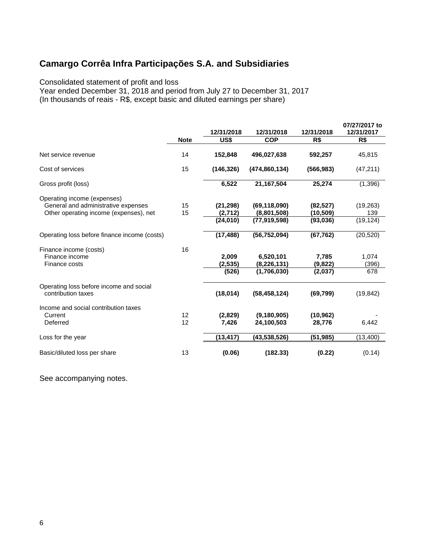Consolidated statement of profit and loss

Year ended December 31, 2018 and period from July 27 to December 31, 2017

(In thousands of reais - R\$, except basic and diluted earnings per share)

|                                                                                                              |             | 12/31/2018                        | 12/31/2018                                      | 12/31/2018                         | 07/27/2017 to<br>12/31/2017  |
|--------------------------------------------------------------------------------------------------------------|-------------|-----------------------------------|-------------------------------------------------|------------------------------------|------------------------------|
|                                                                                                              | <b>Note</b> | US\$                              | <b>COP</b>                                      | R\$                                | R\$                          |
| Net service revenue                                                                                          | 14          | 152,848                           | 496,027,638                                     | 592,257                            | 45,815                       |
| Cost of services                                                                                             | 15          | (146, 326)                        | (474,860,134)                                   | (566, 983)                         | (47, 211)                    |
| Gross profit (loss)                                                                                          |             | 6,522                             | 21,167,504                                      | 25,274                             | (1, 396)                     |
| Operating income (expenses)<br>General and administrative expenses<br>Other operating income (expenses), net | 15<br>15    | (21, 298)<br>(2,712)<br>(24, 010) | (69, 118, 090)<br>(8,801,508)<br>(77, 919, 598) | (82, 527)<br>(10, 509)<br>(93,036) | (19,263)<br>139<br>(19, 124) |
| Operating loss before finance income (costs)                                                                 |             | (17, 488)                         | (56, 752, 094)                                  | (67, 762)                          | (20, 520)                    |
| Finance income (costs)<br>Finance income<br>Finance costs                                                    | 16          | 2,009<br>(2, 535)<br>(526)        | 6,520,101<br>(8, 226, 131)<br>(1,706,030)       | 7,785<br>(9,822)<br>(2,037)        | 1,074<br>(396)<br>678        |
| Operating loss before income and social<br>contribution taxes                                                |             | (18, 014)                         | (58, 458, 124)                                  | (69, 799)                          | (19, 842)                    |
| Income and social contribution taxes<br>Current<br>Deferred                                                  | 12<br>12    | (2,829)<br>7,426                  | (9, 180, 905)<br>24,100,503                     | (10.962)<br>28,776                 | 6,442                        |
| Loss for the year                                                                                            |             | (13, 417)                         | (43,538,526)                                    | (51, 985)                          | (13, 400)                    |
| Basic/diluted loss per share                                                                                 | 13          | (0.06)                            | (182.33)                                        | (0.22)                             | (0.14)                       |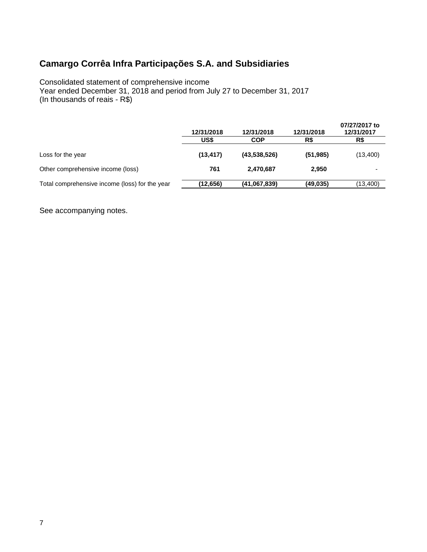Consolidated statement of comprehensive income

Year ended December 31, 2018 and period from July 27 to December 31, 2017 (In thousands of reais -  $R\hat{s}$ )

|                                                | 12/31/2018 | 12/31/2018   | 12/31/2018 | 07/27/2017 to<br>12/31/2017 |
|------------------------------------------------|------------|--------------|------------|-----------------------------|
|                                                | US\$       | <b>COP</b>   | R\$        | R\$                         |
| Loss for the year                              | (13, 417)  | (43,538,526) | (51, 985)  | (13,400)                    |
| Other comprehensive income (loss)              | 761        | 2,470,687    | 2,950      |                             |
| Total comprehensive income (loss) for the year | (12,656)   | (41,067,839) | (49,035)   | (13,400)                    |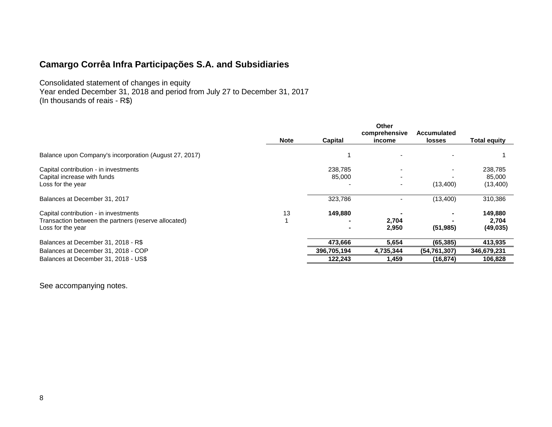Consolidated statement of changes in equity

Year ended December 31, 2018 and period from July 27 to December 31, 2017

(In thousands of reais - R\$)

|                                                                                                                    |             |                        | <b>Other</b><br>comprehensive | <b>Accumulated</b>          |                               |
|--------------------------------------------------------------------------------------------------------------------|-------------|------------------------|-------------------------------|-----------------------------|-------------------------------|
|                                                                                                                    | <b>Note</b> | Capital                | income                        | <b>losses</b>               | <b>Total equity</b>           |
| Balance upon Company's incorporation (August 27, 2017)                                                             |             |                        |                               |                             |                               |
| Capital contribution - in investments<br>Capital increase with funds<br>Loss for the year                          |             | 238.785<br>85,000      |                               | (13,400)                    | 238,785<br>85,000<br>(13,400) |
| Balances at December 31, 2017                                                                                      |             | 323,786                |                               | (13,400)                    | 310,386                       |
| Capital contribution - in investments<br>Transaction between the partners (reserve allocated)<br>Loss for the year | 13          | 149,880                | 2,704<br>2,950                | (51, 985)                   | 149,880<br>2,704<br>(49, 035) |
| Balances at December 31, 2018 - R\$<br>Balances at December 31, 2018 - COP                                         |             | 473,666<br>396,705,194 | 5,654<br>4,735,344            | (65, 385)<br>(54, 761, 307) | 413,935<br>346,679,231        |
| Balances at December 31, 2018 - US\$                                                                               |             | 122,243                | 1.459                         | (16, 874)                   | 106,828                       |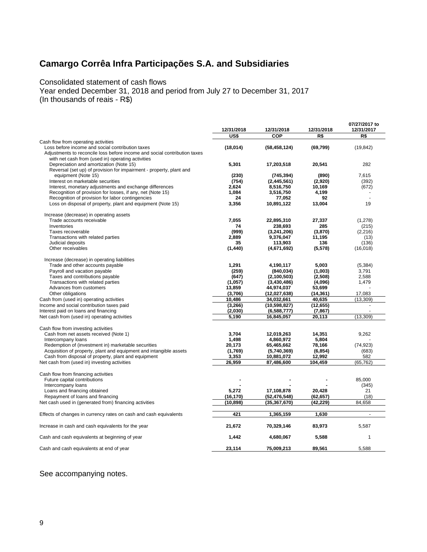Consolidated statement of cash flows

Year ended December 31, 2018 and period from July 27 to December 31, 2017

(In thousands of reais -  $R\hat{s}$ )

|                                                                                                                | 12/31/2018        | 12/31/2018                | 12/31/2018        | 07/27/2017 to<br>12/31/2017 |
|----------------------------------------------------------------------------------------------------------------|-------------------|---------------------------|-------------------|-----------------------------|
|                                                                                                                | US\$              | <b>COP</b>                | R\$               | R\$                         |
| Cash flow from operating activities                                                                            |                   |                           |                   |                             |
| Loss before income and social contribution taxes                                                               | (18,014)          | (58, 458, 124)            | (69, 799)         | (19, 842)                   |
| Adjustments to reconcile loss before income and social contribution taxes                                      |                   |                           |                   |                             |
| with net cash from (used in) operating activities                                                              | 5,301             |                           |                   | 282                         |
| Depreciation and amortization (Note 15)<br>Reversal (set up) of provision for impairment - property, plant and |                   | 17,203,518                | 20,541            |                             |
| equipment (Note 15)                                                                                            | (230)             | (745, 394)                | (890)             | 7.615                       |
| Interest on marketable securities                                                                              | (754)             | (2, 445, 561)             | (2,920)           | (392)                       |
| Interest, monetary adjustments and exchange differences                                                        | 2,624             | 8,516,750                 | 10,169            | (672)                       |
| Recognition of provision for losses, if any, net (Note 15)                                                     | 1,084             | 3,516,750                 | 4,199             |                             |
| Recognition of provision for labor contingencies                                                               | 24                | 77,052                    | 92                |                             |
| Loss on disposal of property, plant and equipment (Note 15)                                                    | 3,356             | 10,891,122                | 13,004            | 19                          |
| Increase (decrease) in operating assets                                                                        |                   |                           |                   |                             |
| Trade accounts receivable                                                                                      | 7,055             | 22,895,310                | 27,337            | (1,278)                     |
| Inventories                                                                                                    | 74                | 238,693                   | 285               | (215)                       |
| Taxes recoverable                                                                                              | (999)             | (3,241,206)               | (3,870)           | (2, 216)                    |
| Transactions with related parties                                                                              | 2,889             | 9,376,047                 | 11,195            | (13)                        |
| Judicial deposits                                                                                              | 35                | 113,903                   | 136               | (136)                       |
| Other receivables                                                                                              | (1, 440)          | (4,671,692)               | (5,578)           | (16,018)                    |
| Increase (decrease) in operating liabilities                                                                   |                   |                           |                   |                             |
| Trade and other accounts payable                                                                               | 1,291             | 4,190,117                 | 5,003             | (5, 384)                    |
| Payroll and vacation payable                                                                                   | (259)             | (840, 034)                | (1,003)           | 3,791                       |
| Taxes and contributions payable                                                                                | (647)             | (2, 100, 503)             | (2,508)           | 2,588                       |
| Transactions with related parties<br>Advances from customers                                                   | (1,057)<br>13,859 | (3,430,486)<br>44,974,037 | (4,096)<br>53,699 | 1,479                       |
| Other obligations                                                                                              | (3,706)           | (12,027,638)              | (14, 361)         | 17,083                      |
| Cash from (used in) operating activities                                                                       | 10,486            | 34,032,661                | 40,635            | (13,309)                    |
| Income and social contribution taxes paid                                                                      | (3, 266)          | (10,598,827)              | (12, 655)         | ÷,                          |
| Interest paid on loans and financing                                                                           | (2,030)           | (6,588,777)               | (7, 867)          |                             |
| Net cash from (used in) operating activities                                                                   | 5,190             | 16,845,057                | 20,113            | (13, 309)                   |
| Cash flow from investing activities                                                                            |                   |                           |                   |                             |
| Cash from net assets received (Note 1)                                                                         | 3,704             | 12,019,263                | 14,351            | 9,262                       |
| Intercompany loans                                                                                             | 1,498             | 4,860,972                 | 5.804             |                             |
| Redemption of (investment in) marketable securities                                                            | 20,173            | 65,465,662                | 78,166            | (74, 923)                   |
| Acquisition of property, plant and equipment and intangible assets                                             | (1,769)           | (5,740,369)               | (6, 854)          | (683)                       |
| Cash from disposal of property, plant and equipment                                                            | 3,353             | 10,881,072                | 12,992            | 582                         |
| Net cash from (used in) investing activities                                                                   | 26,959            | 87,486,600                | 104,459           | (65, 762)                   |
| Cash flow from financing activities                                                                            |                   |                           |                   |                             |
| Future capital contributions                                                                                   |                   |                           |                   | 85,000                      |
| Intercompany loans                                                                                             |                   |                           |                   | (345)                       |
| Loans and financing obtained                                                                                   | 5,272             | 17,108,878                | 20,428            | 21                          |
| Repayment of loans and financing                                                                               | (16, 170)         | (52, 476, 548)            | (62, 657)         | (18)                        |
| Net cash used in (generated from) financing activities                                                         | (10,898)          | (35,367,670)              | (42,229)          | 84,658                      |
| Effects of changes in currency rates on cash and cash equivalents                                              | 421               | 1,365,159                 | 1,630             | ÷,                          |
| Increase in cash and cash equivalents for the year                                                             | 21,672            | 70,329,146                | 83,973            | 5,587                       |
| Cash and cash equivalents at beginning of year                                                                 | 1,442             | 4,680,067                 | 5,588             | 1                           |
| Cash and cash equivalents at end of year                                                                       | 23,114            | 75,009,213                | 89,561            | 5,588                       |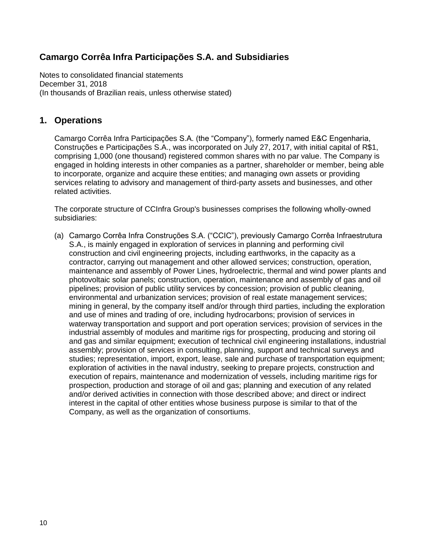Notes to consolidated financial statements December 31, 2018 (In thousands of Brazilian reais, unless otherwise stated)

### **1. Operations**

Camargo Corrêa Infra Participações S.A. (the "Company"), formerly named E&C Engenharia, Construções e Participações S.A., was incorporated on July 27, 2017, with initial capital of R\$1, comprising 1,000 (one thousand) registered common shares with no par value. The Company is engaged in holding interests in other companies as a partner, shareholder or member, being able to incorporate, organize and acquire these entities; and managing own assets or providing services relating to advisory and management of third-party assets and businesses, and other related activities.

The corporate structure of CCInfra Group's businesses comprises the following wholly-owned subsidiaries:

(a) Camargo Corrêa Infra Construções S.A. ("CCIC"), previously Camargo Corrêa Infraestrutura S.A., is mainly engaged in exploration of services in planning and performing civil construction and civil engineering projects, including earthworks, in the capacity as a contractor, carrying out management and other allowed services; construction, operation, maintenance and assembly of Power Lines, hydroelectric, thermal and wind power plants and photovoltaic solar panels; construction, operation, maintenance and assembly of gas and oil pipelines; provision of public utility services by concession; provision of public cleaning, environmental and urbanization services; provision of real estate management services; mining in general, by the company itself and/or through third parties, including the exploration and use of mines and trading of ore, including hydrocarbons; provision of services in waterway transportation and support and port operation services; provision of services in the industrial assembly of modules and maritime rigs for prospecting, producing and storing oil and gas and similar equipment; execution of technical civil engineering installations, industrial assembly; provision of services in consulting, planning, support and technical surveys and studies; representation, import, export, lease, sale and purchase of transportation equipment; exploration of activities in the naval industry, seeking to prepare projects, construction and execution of repairs, maintenance and modernization of vessels, including maritime rigs for prospection, production and storage of oil and gas; planning and execution of any related and/or derived activities in connection with those described above; and direct or indirect interest in the capital of other entities whose business purpose is similar to that of the Company, as well as the organization of consortiums.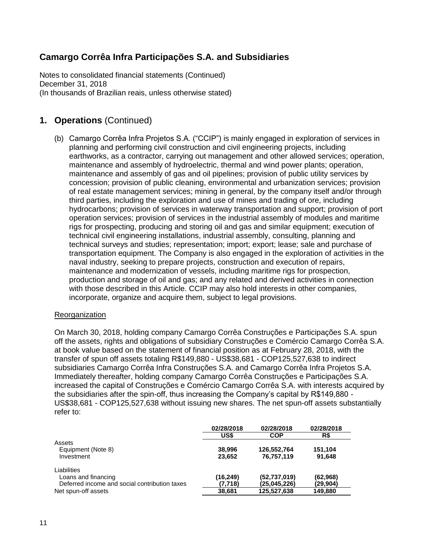Notes to consolidated financial statements (Continued) December 31, 2018 (In thousands of Brazilian reais, unless otherwise stated)

# **1. Operations** (Continued)

(b) Camargo Corrêa Infra Projetos S.A. ("CCIP") is mainly engaged in exploration of services in planning and performing civil construction and civil engineering projects, including earthworks, as a contractor, carrying out management and other allowed services; operation, maintenance and assembly of hydroelectric, thermal and wind power plants; operation, maintenance and assembly of gas and oil pipelines; provision of public utility services by concession; provision of public cleaning, environmental and urbanization services; provision of real estate management services; mining in general, by the company itself and/or through third parties, including the exploration and use of mines and trading of ore, including hydrocarbons; provision of services in waterway transportation and support; provision of port operation services; provision of services in the industrial assembly of modules and maritime rigs for prospecting, producing and storing oil and gas and similar equipment; execution of technical civil engineering installations, industrial assembly, consulting, planning and technical surveys and studies; representation; import; export; lease; sale and purchase of transportation equipment. The Company is also engaged in the exploration of activities in the naval industry, seeking to prepare projects, construction and execution of repairs, maintenance and modernization of vessels, including maritime rigs for prospection, production and storage of oil and gas; and any related and derived activities in connection with those described in this Article. CCIP may also hold interests in other companies, incorporate, organize and acquire them, subject to legal provisions.

### **Reorganization**

On March 30, 2018, holding company Camargo Corrêa Construções e Participações S.A. spun off the assets, rights and obligations of subsidiary Construções e Comércio Camargo Corrêa S.A. at book value based on the statement of financial position as at February 28, 2018, with the transfer of spun off assets totaling R\$149,880 - US\$38,681 - COP125,527,638 to indirect subsidiaries Camargo Corrêa Infra Construções S.A. and Camargo Corrêa Infra Projetos S.A. Immediately thereafter, holding company Camargo Corrêa Construções e Participações S.A. increased the capital of Construções e Comércio Camargo Corrêa S.A. with interests acquired by the subsidiaries after the spin-off, thus increasing the Company's capital by R\$149,880 - US\$38,681 - COP125,527,638 without issuing new shares. The net spun-off assets substantially refer to:

|                                               | 02/28/2018 | 02/28/2018     | 02/28/2018 |
|-----------------------------------------------|------------|----------------|------------|
|                                               | US\$       | <b>COP</b>     | R\$        |
| Assets                                        |            |                |            |
| Equipment (Note 8)                            | 38,996     | 126,552,764    | 151,104    |
| Investment                                    | 23,652     | 76.757.119     | 91.648     |
| Liabilities                                   |            |                |            |
| Loans and financing                           | (16, 249)  | (52, 737, 019) | (62,968)   |
| Deferred income and social contribution taxes | (7,718)    | (25,045,226)   | (29,904)   |
| Net spun-off assets                           | 38,681     | 125,527,638    | 149,880    |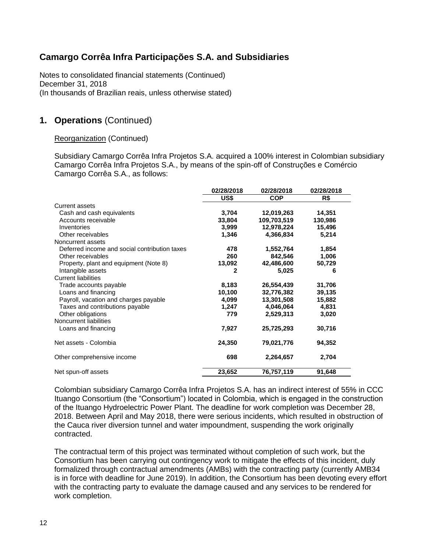Notes to consolidated financial statements (Continued) December 31, 2018 (In thousands of Brazilian reais, unless otherwise stated)

### **1. Operations** (Continued)

#### Reorganization (Continued)

Subsidiary Camargo Corrêa Infra Projetos S.A. acquired a 100% interest in Colombian subsidiary Camargo Corrêa Infra Projetos S.A., by means of the spin-off of Construções e Comércio Camargo Corrêa S.A., as follows:

|                                               | 02/28/2018 | 02/28/2018  | 02/28/2018 |
|-----------------------------------------------|------------|-------------|------------|
|                                               | US\$       | <b>COP</b>  | R\$        |
| Current assets                                |            |             |            |
| Cash and cash equivalents                     | 3,704      | 12,019,263  | 14,351     |
| Accounts receivable                           | 33,804     | 109,703,519 | 130,986    |
| Inventories                                   | 3,999      | 12,978,224  | 15,496     |
| Other receivables                             | 1,346      | 4,366,834   | 5,214      |
| Noncurrent assets                             |            |             |            |
| Deferred income and social contribution taxes | 478        | 1,552,764   | 1,854      |
| Other receivables                             | 260        | 842,546     | 1,006      |
| Property, plant and equipment (Note 8)        | 13,092     | 42,486,600  | 50,729     |
| Intangible assets                             | 2          | 5,025       | 6          |
| <b>Current liabilities</b>                    |            |             |            |
| Trade accounts payable                        | 8,183      | 26,554,439  | 31,706     |
| Loans and financing                           | 10,100     | 32,776,382  | 39,135     |
| Payroll, vacation and charges payable         | 4,099      | 13,301,508  | 15,882     |
| Taxes and contributions payable               | 1,247      | 4,046,064   | 4,831      |
| Other obligations                             | 779        | 2,529,313   | 3,020      |
| Noncurrent liabilities                        |            |             |            |
| Loans and financing                           | 7,927      | 25,725,293  | 30,716     |
| Net assets - Colombia                         | 24,350     | 79,021,776  | 94,352     |
| Other comprehensive income                    | 698        | 2,264,657   | 2,704      |
| Net spun-off assets                           | 23,652     | 76,757,119  | 91,648     |

Colombian subsidiary Camargo Corrêa Infra Projetos S.A. has an indirect interest of 55% in CCC Ituango Consortium (the "Consortium") located in Colombia, which is engaged in the construction of the Ituango Hydroelectric Power Plant. The deadline for work completion was December 28, 2018. Between April and May 2018, there were serious incidents, which resulted in obstruction of the Cauca river diversion tunnel and water impoundment, suspending the work originally contracted.

The contractual term of this project was terminated without completion of such work, but the Consortium has been carrying out contingency work to mitigate the effects of this incident, duly formalized through contractual amendments (AMBs) with the contracting party (currently AMB34 is in force with deadline for June 2019). In addition, the Consortium has been devoting every effort with the contracting party to evaluate the damage caused and any services to be rendered for work completion.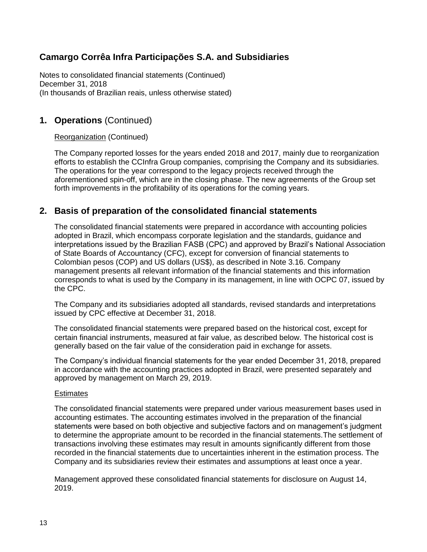Notes to consolidated financial statements (Continued) December 31, 2018 (In thousands of Brazilian reais, unless otherwise stated)

### **1. Operations** (Continued)

### Reorganization (Continued)

The Company reported losses for the years ended 2018 and 2017, mainly due to reorganization efforts to establish the CCInfra Group companies, comprising the Company and its subsidiaries. The operations for the year correspond to the legacy projects received through the aforementioned spin-off, which are in the closing phase. The new agreements of the Group set forth improvements in the profitability of its operations for the coming years.

### **2. Basis of preparation of the consolidated financial statements**

The consolidated financial statements were prepared in accordance with accounting policies adopted in Brazil, which encompass corporate legislation and the standards, guidance and interpretations issued by the Brazilian FASB (CPC) and approved by Brazil's National Association of State Boards of Accountancy (CFC), except for conversion of financial statements to Colombian pesos (COP) and US dollars (US\$), as described in Note 3.16. Company management presents all relevant information of the financial statements and this information corresponds to what is used by the Company in its management, in line with OCPC 07, issued by the CPC.

The Company and its subsidiaries adopted all standards, revised standards and interpretations issued by CPC effective at December 31, 2018.

The consolidated financial statements were prepared based on the historical cost, except for certain financial instruments, measured at fair value, as described below. The historical cost is generally based on the fair value of the consideration paid in exchange for assets.

The Company's individual financial statements for the year ended December 31, 2018, prepared in accordance with the accounting practices adopted in Brazil, were presented separately and approved by management on March 29, 2019.

### **Estimates**

The consolidated financial statements were prepared under various measurement bases used in accounting estimates. The accounting estimates involved in the preparation of the financial statements were based on both objective and subjective factors and on management's judgment to determine the appropriate amount to be recorded in the financial statements.The settlement of transactions involving these estimates may result in amounts significantly different from those recorded in the financial statements due to uncertainties inherent in the estimation process. The Company and its subsidiaries review their estimates and assumptions at least once a year.

Management approved these consolidated financial statements for disclosure on August 14, 2019.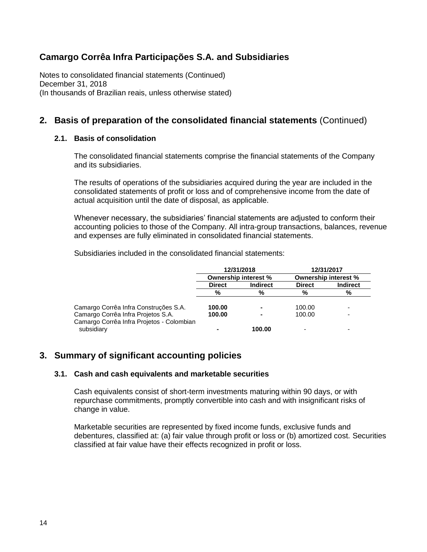Notes to consolidated financial statements (Continued) December 31, 2018 (In thousands of Brazilian reais, unless otherwise stated)

### **2. Basis of preparation of the consolidated financial statements** (Continued)

### **2.1. Basis of consolidation**

The consolidated financial statements comprise the financial statements of the Company and its subsidiaries.

The results of operations of the subsidiaries acquired during the year are included in the consolidated statements of profit or loss and of comprehensive income from the date of actual acquisition until the date of disposal, as applicable.

Whenever necessary, the subsidiaries' financial statements are adjusted to conform their accounting policies to those of the Company. All intra-group transactions, balances, revenue and expenses are fully eliminated in consolidated financial statements.

Subsidiaries included in the consolidated financial statements:

|                                           | 12/31/2018<br>Ownership interest % |        | 12/31/2017<br>Ownership interest % |   |                 |  |
|-------------------------------------------|------------------------------------|--------|------------------------------------|---|-----------------|--|
|                                           |                                    |        |                                    |   |                 |  |
|                                           | <b>Direct</b><br><b>Indirect</b>   |        | <b>Direct</b>                      |   | <b>Indirect</b> |  |
|                                           | %                                  | %      | %                                  | % |                 |  |
|                                           |                                    |        |                                    |   |                 |  |
| Camargo Corrêa Infra Construções S.A.     | 100.00                             | ۰      | 100.00                             | ۰ |                 |  |
| Camargo Corrêa Infra Projetos S.A.        | 100.00                             |        | 100.00                             | ۰ |                 |  |
| Camargo Corrêa Infra Projetos - Colombian |                                    |        |                                    |   |                 |  |
| subsidiary                                |                                    | 100.00 | $\overline{\phantom{0}}$           | - |                 |  |

### **3. Summary of significant accounting policies**

#### **3.1. Cash and cash equivalents and marketable securities**

Cash equivalents consist of short-term investments maturing within 90 days, or with repurchase commitments, promptly convertible into cash and with insignificant risks of change in value.

Marketable securities are represented by fixed income funds, exclusive funds and debentures, classified at: (a) fair value through profit or loss or (b) amortized cost. Securities classified at fair value have their effects recognized in profit or loss.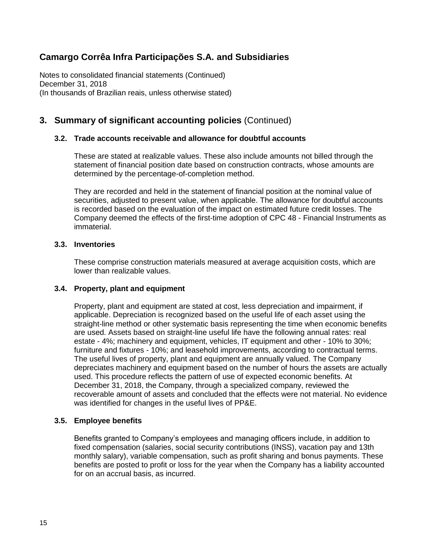Notes to consolidated financial statements (Continued) December 31, 2018 (In thousands of Brazilian reais, unless otherwise stated)

# **3. Summary of significant accounting policies** (Continued)

#### **3.2. Trade accounts receivable and allowance for doubtful accounts**

These are stated at realizable values. These also include amounts not billed through the statement of financial position date based on construction contracts, whose amounts are determined by the percentage-of-completion method.

They are recorded and held in the statement of financial position at the nominal value of securities, adjusted to present value, when applicable. The allowance for doubtful accounts is recorded based on the evaluation of the impact on estimated future credit losses. The Company deemed the effects of the first-time adoption of CPC 48 - Financial Instruments as immaterial.

#### **3.3. Inventories**

These comprise construction materials measured at average acquisition costs, which are lower than realizable values.

### **3.4. Property, plant and equipment**

Property, plant and equipment are stated at cost, less depreciation and impairment, if applicable. Depreciation is recognized based on the useful life of each asset using the straight-line method or other systematic basis representing the time when economic benefits are used. Assets based on straight-line useful life have the following annual rates: real estate - 4%; machinery and equipment, vehicles, IT equipment and other - 10% to 30%; furniture and fixtures - 10%; and leasehold improvements, according to contractual terms. The useful lives of property, plant and equipment are annually valued. The Company depreciates machinery and equipment based on the number of hours the assets are actually used. This procedure reflects the pattern of use of expected economic benefits. At December 31, 2018, the Company, through a specialized company, reviewed the recoverable amount of assets and concluded that the effects were not material. No evidence was identified for changes in the useful lives of PP&E.

### **3.5. Employee benefits**

Benefits granted to Company's employees and managing officers include, in addition to fixed compensation (salaries, social security contributions (INSS), vacation pay and 13th monthly salary), variable compensation, such as profit sharing and bonus payments. These benefits are posted to profit or loss for the year when the Company has a liability accounted for on an accrual basis, as incurred.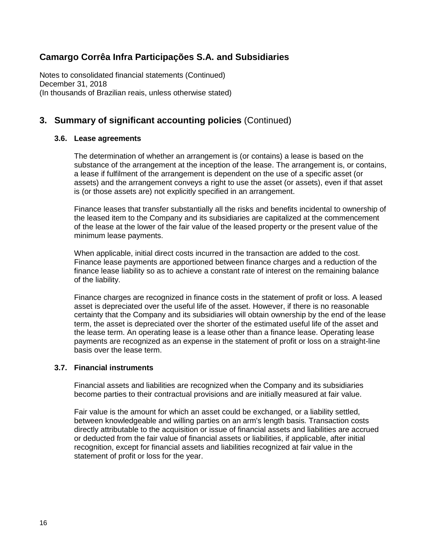Notes to consolidated financial statements (Continued) December 31, 2018 (In thousands of Brazilian reais, unless otherwise stated)

# **3. Summary of significant accounting policies** (Continued)

#### **3.6. Lease agreements**

The determination of whether an arrangement is (or contains) a lease is based on the substance of the arrangement at the inception of the lease. The arrangement is, or contains, a lease if fulfilment of the arrangement is dependent on the use of a specific asset (or assets) and the arrangement conveys a right to use the asset (or assets), even if that asset is (or those assets are) not explicitly specified in an arrangement.

Finance leases that transfer substantially all the risks and benefits incidental to ownership of the leased item to the Company and its subsidiaries are capitalized at the commencement of the lease at the lower of the fair value of the leased property or the present value of the minimum lease payments.

When applicable, initial direct costs incurred in the transaction are added to the cost. Finance lease payments are apportioned between finance charges and a reduction of the finance lease liability so as to achieve a constant rate of interest on the remaining balance of the liability.

Finance charges are recognized in finance costs in the statement of profit or loss. A leased asset is depreciated over the useful life of the asset. However, if there is no reasonable certainty that the Company and its subsidiaries will obtain ownership by the end of the lease term, the asset is depreciated over the shorter of the estimated useful life of the asset and the lease term. An operating lease is a lease other than a finance lease. Operating lease payments are recognized as an expense in the statement of profit or loss on a straight-line basis over the lease term.

#### **3.7. Financial instruments**

Financial assets and liabilities are recognized when the Company and its subsidiaries become parties to their contractual provisions and are initially measured at fair value.

Fair value is the amount for which an asset could be exchanged, or a liability settled, between knowledgeable and willing parties on an arm's length basis. Transaction costs directly attributable to the acquisition or issue of financial assets and liabilities are accrued or deducted from the fair value of financial assets or liabilities, if applicable, after initial recognition, except for financial assets and liabilities recognized at fair value in the statement of profit or loss for the year.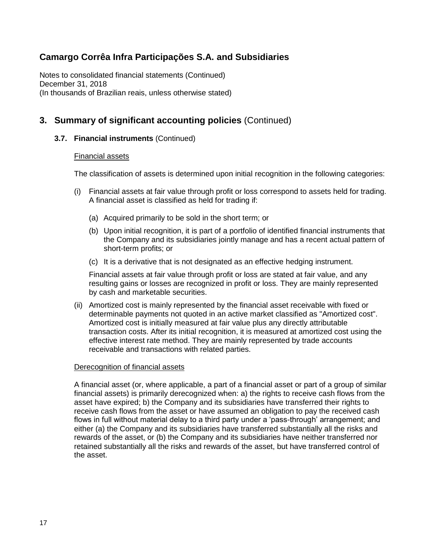Notes to consolidated financial statements (Continued) December 31, 2018 (In thousands of Brazilian reais, unless otherwise stated)

# **3. Summary of significant accounting policies** (Continued)

### **3.7. Financial instruments** (Continued)

### Financial assets

The classification of assets is determined upon initial recognition in the following categories:

- (i) Financial assets at fair value through profit or loss correspond to assets held for trading. A financial asset is classified as held for trading if:
	- (a) Acquired primarily to be sold in the short term; or
	- (b) Upon initial recognition, it is part of a portfolio of identified financial instruments that the Company and its subsidiaries jointly manage and has a recent actual pattern of short-term profits; or
	- (c) It is a derivative that is not designated as an effective hedging instrument.

Financial assets at fair value through profit or loss are stated at fair value, and any resulting gains or losses are recognized in profit or loss. They are mainly represented by cash and marketable securities.

(ii) Amortized cost is mainly represented by the financial asset receivable with fixed or determinable payments not quoted in an active market classified as "Amortized cost". Amortized cost is initially measured at fair value plus any directly attributable transaction costs. After its initial recognition, it is measured at amortized cost using the effective interest rate method. They are mainly represented by trade accounts receivable and transactions with related parties.

#### Derecognition of financial assets

A financial asset (or, where applicable, a part of a financial asset or part of a group of similar financial assets) is primarily derecognized when: a) the rights to receive cash flows from the asset have expired; b) the Company and its subsidiaries have transferred their rights to receive cash flows from the asset or have assumed an obligation to pay the received cash flows in full without material delay to a third party under a 'pass-through' arrangement; and either (a) the Company and its subsidiaries have transferred substantially all the risks and rewards of the asset, or (b) the Company and its subsidiaries have neither transferred nor retained substantially all the risks and rewards of the asset, but have transferred control of the asset.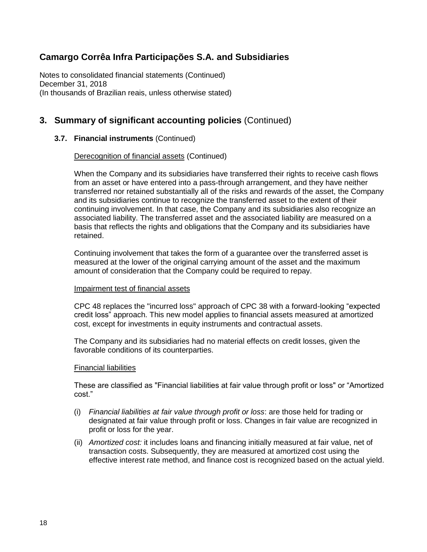Notes to consolidated financial statements (Continued) December 31, 2018 (In thousands of Brazilian reais, unless otherwise stated)

# **3. Summary of significant accounting policies** (Continued)

### **3.7. Financial instruments** (Continued)

#### Derecognition of financial assets (Continued)

When the Company and its subsidiaries have transferred their rights to receive cash flows from an asset or have entered into a pass-through arrangement, and they have neither transferred nor retained substantially all of the risks and rewards of the asset, the Company and its subsidiaries continue to recognize the transferred asset to the extent of their continuing involvement. In that case, the Company and its subsidiaries also recognize an associated liability. The transferred asset and the associated liability are measured on a basis that reflects the rights and obligations that the Company and its subsidiaries have retained.

Continuing involvement that takes the form of a guarantee over the transferred asset is measured at the lower of the original carrying amount of the asset and the maximum amount of consideration that the Company could be required to repay.

#### Impairment test of financial assets

CPC 48 replaces the "incurred loss" approach of CPC 38 with a forward-looking "expected credit loss" approach. This new model applies to financial assets measured at amortized cost, except for investments in equity instruments and contractual assets.

The Company and its subsidiaries had no material effects on credit losses, given the favorable conditions of its counterparties.

#### Financial liabilities

These are classified as "Financial liabilities at fair value through profit or loss" or "Amortized cost."

- (i) *Financial liabilities at fair value through profit or loss*: are those held for trading or designated at fair value through profit or loss. Changes in fair value are recognized in profit or loss for the year.
- (ii) *Amortized cost:* it includes loans and financing initially measured at fair value, net of transaction costs. Subsequently, they are measured at amortized cost using the effective interest rate method, and finance cost is recognized based on the actual yield.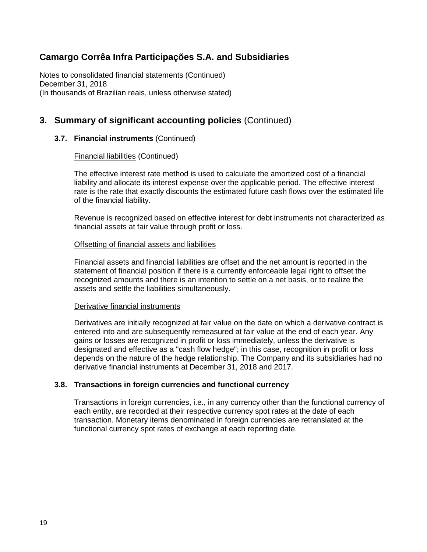Notes to consolidated financial statements (Continued) December 31, 2018 (In thousands of Brazilian reais, unless otherwise stated)

### **3. Summary of significant accounting policies** (Continued)

#### **3.7. Financial instruments** (Continued)

#### Financial liabilities (Continued)

The effective interest rate method is used to calculate the amortized cost of a financial liability and allocate its interest expense over the applicable period. The effective interest rate is the rate that exactly discounts the estimated future cash flows over the estimated life of the financial liability.

Revenue is recognized based on effective interest for debt instruments not characterized as financial assets at fair value through profit or loss.

#### Offsetting of financial assets and liabilities

Financial assets and financial liabilities are offset and the net amount is reported in the statement of financial position if there is a currently enforceable legal right to offset the recognized amounts and there is an intention to settle on a net basis, or to realize the assets and settle the liabilities simultaneously.

#### Derivative financial instruments

Derivatives are initially recognized at fair value on the date on which a derivative contract is entered into and are subsequently remeasured at fair value at the end of each year. Any gains or losses are recognized in profit or loss immediately, unless the derivative is designated and effective as a "cash flow hedge"; in this case, recognition in profit or loss depends on the nature of the hedge relationship. The Company and its subsidiaries had no derivative financial instruments at December 31, 2018 and 2017.

#### **3.8. Transactions in foreign currencies and functional currency**

Transactions in foreign currencies, i.e., in any currency other than the functional currency of each entity, are recorded at their respective currency spot rates at the date of each transaction. Monetary items denominated in foreign currencies are retranslated at the functional currency spot rates of exchange at each reporting date.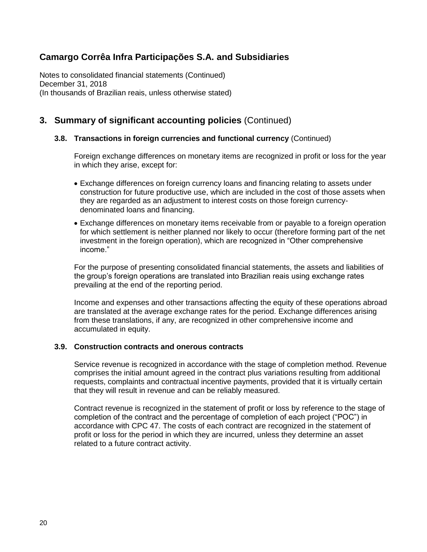Notes to consolidated financial statements (Continued) December 31, 2018 (In thousands of Brazilian reais, unless otherwise stated)

### **3. Summary of significant accounting policies** (Continued)

#### **3.8. Transactions in foreign currencies and functional currency** (Continued)

Foreign exchange differences on monetary items are recognized in profit or loss for the year in which they arise, except for:

- Exchange differences on foreign currency loans and financing relating to assets under construction for future productive use, which are included in the cost of those assets when they are regarded as an adjustment to interest costs on those foreign currencydenominated loans and financing.
- Exchange differences on monetary items receivable from or payable to a foreign operation for which settlement is neither planned nor likely to occur (therefore forming part of the net investment in the foreign operation), which are recognized in "Other comprehensive income."

For the purpose of presenting consolidated financial statements, the assets and liabilities of the group's foreign operations are translated into Brazilian reais using exchange rates prevailing at the end of the reporting period.

Income and expenses and other transactions affecting the equity of these operations abroad are translated at the average exchange rates for the period. Exchange differences arising from these translations, if any, are recognized in other comprehensive income and accumulated in equity.

#### **3.9. Construction contracts and onerous contracts**

Service revenue is recognized in accordance with the stage of completion method. Revenue comprises the initial amount agreed in the contract plus variations resulting from additional requests, complaints and contractual incentive payments, provided that it is virtually certain that they will result in revenue and can be reliably measured.

Contract revenue is recognized in the statement of profit or loss by reference to the stage of completion of the contract and the percentage of completion of each project ("POC") in accordance with CPC 47. The costs of each contract are recognized in the statement of profit or loss for the period in which they are incurred, unless they determine an asset related to a future contract activity.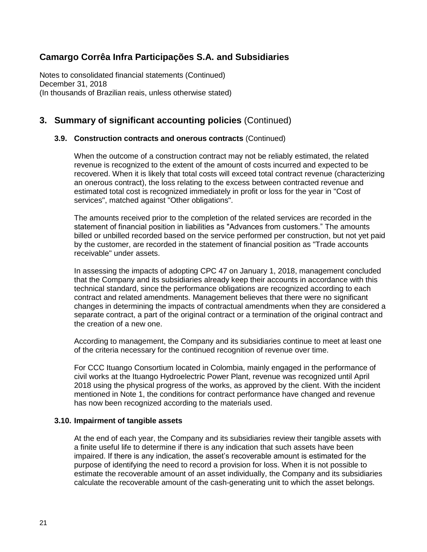Notes to consolidated financial statements (Continued) December 31, 2018 (In thousands of Brazilian reais, unless otherwise stated)

### **3. Summary of significant accounting policies** (Continued)

#### **3.9. Construction contracts and onerous contracts** (Continued)

When the outcome of a construction contract may not be reliably estimated, the related revenue is recognized to the extent of the amount of costs incurred and expected to be recovered. When it is likely that total costs will exceed total contract revenue (characterizing an onerous contract), the loss relating to the excess between contracted revenue and estimated total cost is recognized immediately in profit or loss for the year in "Cost of services", matched against "Other obligations".

The amounts received prior to the completion of the related services are recorded in the statement of financial position in liabilities as "Advances from customers." The amounts billed or unbilled recorded based on the service performed per construction, but not yet paid by the customer, are recorded in the statement of financial position as "Trade accounts receivable" under assets.

In assessing the impacts of adopting CPC 47 on January 1, 2018, management concluded that the Company and its subsidiaries already keep their accounts in accordance with this technical standard, since the performance obligations are recognized according to each contract and related amendments. Management believes that there were no significant changes in determining the impacts of contractual amendments when they are considered a separate contract, a part of the original contract or a termination of the original contract and the creation of a new one.

According to management, the Company and its subsidiaries continue to meet at least one of the criteria necessary for the continued recognition of revenue over time.

For CCC Ituango Consortium located in Colombia, mainly engaged in the performance of civil works at the Ituango Hydroelectric Power Plant, revenue was recognized until April 2018 using the physical progress of the works, as approved by the client. With the incident mentioned in Note 1, the conditions for contract performance have changed and revenue has now been recognized according to the materials used.

#### **3.10. Impairment of tangible assets**

At the end of each year, the Company and its subsidiaries review their tangible assets with a finite useful life to determine if there is any indication that such assets have been impaired. If there is any indication, the asset's recoverable amount is estimated for the purpose of identifying the need to record a provision for loss. When it is not possible to estimate the recoverable amount of an asset individually, the Company and its subsidiaries calculate the recoverable amount of the cash-generating unit to which the asset belongs.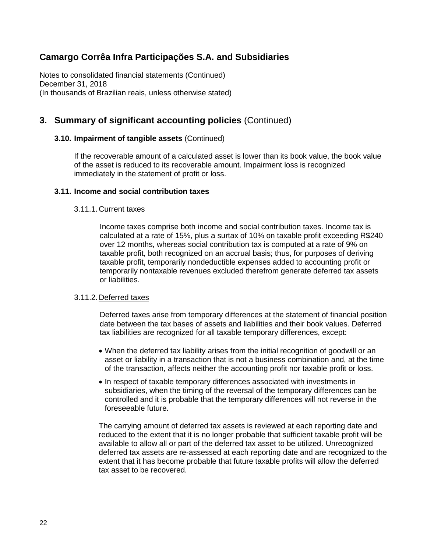Notes to consolidated financial statements (Continued) December 31, 2018 (In thousands of Brazilian reais, unless otherwise stated)

### **3. Summary of significant accounting policies** (Continued)

#### **3.10. Impairment of tangible assets** (Continued)

If the recoverable amount of a calculated asset is lower than its book value, the book value of the asset is reduced to its recoverable amount. Impairment loss is recognized immediately in the statement of profit or loss.

#### **3.11. Income and social contribution taxes**

#### 3.11.1. Current taxes

Income taxes comprise both income and social contribution taxes. Income tax is calculated at a rate of 15%, plus a surtax of 10% on taxable profit exceeding R\$240 over 12 months, whereas social contribution tax is computed at a rate of 9% on taxable profit, both recognized on an accrual basis; thus, for purposes of deriving taxable profit, temporarily nondeductible expenses added to accounting profit or temporarily nontaxable revenues excluded therefrom generate deferred tax assets or liabilities.

### 3.11.2. Deferred taxes

Deferred taxes arise from temporary differences at the statement of financial position date between the tax bases of assets and liabilities and their book values. Deferred tax liabilities are recognized for all taxable temporary differences, except:

- When the deferred tax liability arises from the initial recognition of goodwill or an asset or liability in a transaction that is not a business combination and, at the time of the transaction, affects neither the accounting profit nor taxable profit or loss.
- In respect of taxable temporary differences associated with investments in subsidiaries, when the timing of the reversal of the temporary differences can be controlled and it is probable that the temporary differences will not reverse in the foreseeable future.

The carrying amount of deferred tax assets is reviewed at each reporting date and reduced to the extent that it is no longer probable that sufficient taxable profit will be available to allow all or part of the deferred tax asset to be utilized. Unrecognized deferred tax assets are re-assessed at each reporting date and are recognized to the extent that it has become probable that future taxable profits will allow the deferred tax asset to be recovered.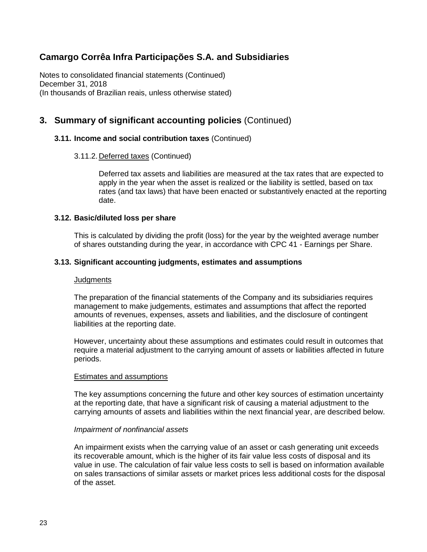Notes to consolidated financial statements (Continued) December 31, 2018 (In thousands of Brazilian reais, unless otherwise stated)

### **3. Summary of significant accounting policies** (Continued)

### **3.11. Income and social contribution taxes** (Continued)

#### 3.11.2. Deferred taxes (Continued)

Deferred tax assets and liabilities are measured at the tax rates that are expected to apply in the year when the asset is realized or the liability is settled, based on tax rates (and tax laws) that have been enacted or substantively enacted at the reporting date.

#### **3.12. Basic/diluted loss per share**

This is calculated by dividing the profit (loss) for the year by the weighted average number of shares outstanding during the year, in accordance with CPC 41 - Earnings per Share.

#### **3.13. Significant accounting judgments, estimates and assumptions**

#### **Judgments**

The preparation of the financial statements of the Company and its subsidiaries requires management to make judgements, estimates and assumptions that affect the reported amounts of revenues, expenses, assets and liabilities, and the disclosure of contingent liabilities at the reporting date.

However, uncertainty about these assumptions and estimates could result in outcomes that require a material adjustment to the carrying amount of assets or liabilities affected in future periods.

#### Estimates and assumptions

The key assumptions concerning the future and other key sources of estimation uncertainty at the reporting date, that have a significant risk of causing a material adjustment to the carrying amounts of assets and liabilities within the next financial year, are described below.

#### *Impairment of nonfinancial assets*

An impairment exists when the carrying value of an asset or cash generating unit exceeds its recoverable amount, which is the higher of its fair value less costs of disposal and its value in use. The calculation of fair value less costs to sell is based on information available on sales transactions of similar assets or market prices less additional costs for the disposal of the asset.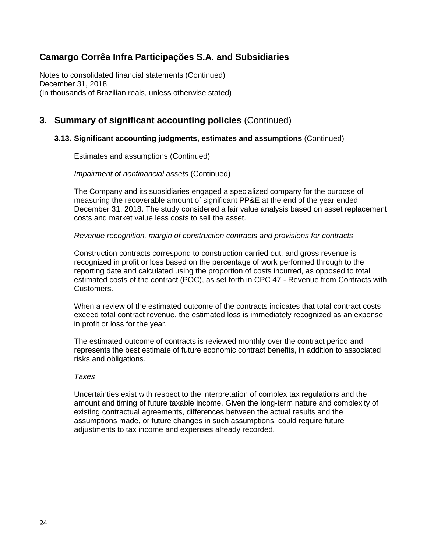Notes to consolidated financial statements (Continued) December 31, 2018 (In thousands of Brazilian reais, unless otherwise stated)

### **3. Summary of significant accounting policies** (Continued)

#### **3.13. Significant accounting judgments, estimates and assumptions** (Continued)

Estimates and assumptions (Continued)

#### *Impairment of nonfinancial assets* (Continued)

The Company and its subsidiaries engaged a specialized company for the purpose of measuring the recoverable amount of significant PP&E at the end of the year ended December 31, 2018. The study considered a fair value analysis based on asset replacement costs and market value less costs to sell the asset.

#### *Revenue recognition, margin of construction contracts and provisions for contracts*

Construction contracts correspond to construction carried out, and gross revenue is recognized in profit or loss based on the percentage of work performed through to the reporting date and calculated using the proportion of costs incurred, as opposed to total estimated costs of the contract (POC), as set forth in CPC 47 - Revenue from Contracts with Customers.

When a review of the estimated outcome of the contracts indicates that total contract costs exceed total contract revenue, the estimated loss is immediately recognized as an expense in profit or loss for the year.

The estimated outcome of contracts is reviewed monthly over the contract period and represents the best estimate of future economic contract benefits, in addition to associated risks and obligations.

#### *Taxes*

Uncertainties exist with respect to the interpretation of complex tax regulations and the amount and timing of future taxable income. Given the long-term nature and complexity of existing contractual agreements, differences between the actual results and the assumptions made, or future changes in such assumptions, could require future adjustments to tax income and expenses already recorded.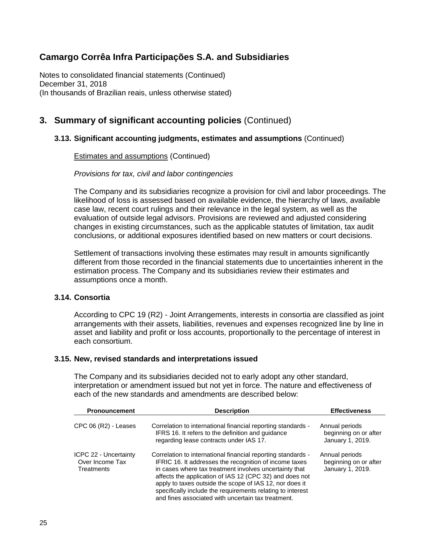Notes to consolidated financial statements (Continued) December 31, 2018 (In thousands of Brazilian reais, unless otherwise stated)

# **3. Summary of significant accounting policies** (Continued)

### **3.13. Significant accounting judgments, estimates and assumptions** (Continued)

Estimates and assumptions (Continued)

#### *Provisions for tax, civil and labor contingencies*

The Company and its subsidiaries recognize a provision for civil and labor proceedings. The likelihood of loss is assessed based on available evidence, the hierarchy of laws, available case law, recent court rulings and their relevance in the legal system, as well as the evaluation of outside legal advisors. Provisions are reviewed and adjusted considering changes in existing circumstances, such as the applicable statutes of limitation, tax audit conclusions, or additional exposures identified based on new matters or court decisions.

Settlement of transactions involving these estimates may result in amounts significantly different from those recorded in the financial statements due to uncertainties inherent in the estimation process. The Company and its subsidiaries review their estimates and assumptions once a month.

### **3.14. Consortia**

According to CPC 19 (R2) - Joint Arrangements, interests in consortia are classified as joint arrangements with their assets, liabilities, revenues and expenses recognized line by line in asset and liability and profit or loss accounts, proportionally to the percentage of interest in each consortium.

### **3.15. New, revised standards and interpretations issued**

The Company and its subsidiaries decided not to early adopt any other standard, interpretation or amendment issued but not yet in force. The nature and effectiveness of each of the new standards and amendments are described below:

| <b>Pronouncement</b>                                   | <b>Description</b>                                                                                                                                                                                                                                                                                                                                                                                                         | <b>Effectiveness</b>                                        |
|--------------------------------------------------------|----------------------------------------------------------------------------------------------------------------------------------------------------------------------------------------------------------------------------------------------------------------------------------------------------------------------------------------------------------------------------------------------------------------------------|-------------------------------------------------------------|
| CPC 06 (R2) - Leases                                   | Correlation to international financial reporting standards -<br>IFRS 16. It refers to the definition and guidance<br>regarding lease contracts under IAS 17.                                                                                                                                                                                                                                                               | Annual periods<br>beginning on or after<br>January 1, 2019. |
| ICPC 22 - Uncertainty<br>Over Income Tax<br>Treatments | Correlation to international financial reporting standards -<br>IFRIC 16. It addresses the recognition of income taxes<br>in cases where tax treatment involves uncertainty that<br>affects the application of IAS 12 (CPC 32) and does not<br>apply to taxes outside the scope of IAS 12, nor does it<br>specifically include the requirements relating to interest<br>and fines associated with uncertain tax treatment. | Annual periods<br>beginning on or after<br>January 1, 2019. |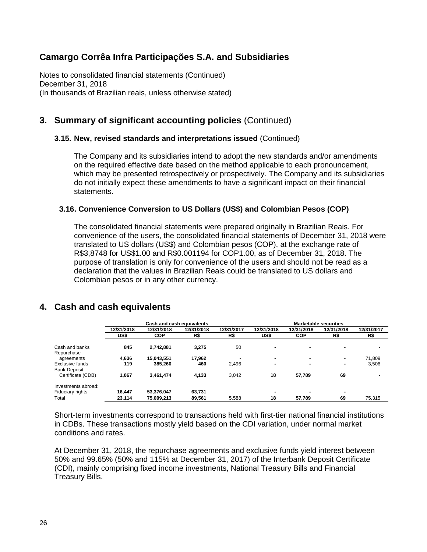Notes to consolidated financial statements (Continued) December 31, 2018 (In thousands of Brazilian reais, unless otherwise stated)

### **3. Summary of significant accounting policies** (Continued)

#### **3.15. New, revised standards and interpretations issued** (Continued)

The Company and its subsidiaries intend to adopt the new standards and/or amendments on the required effective date based on the method applicable to each pronouncement, which may be presented retrospectively or prospectively. The Company and its subsidiaries do not initially expect these amendments to have a significant impact on their financial statements.

### **3.16. Convenience Conversion to US Dollars (US\$) and Colombian Pesos (COP)**

The consolidated financial statements were prepared originally in Brazilian Reais. For convenience of the users, the consolidated financial statements of December 31, 2018 were translated to US dollars (US\$) and Colombian pesos (COP), at the exchange rate of R\$3,8748 for US\$1.00 and R\$0.001194 for COP1.00, as of December 31, 2018. The purpose of translation is only for convenience of the users and should not be read as a declaration that the values in Brazilian Reais could be translated to US dollars and Colombian pesos or in any other currency.

### **4. Cash and cash equivalents**

|                     | <b>Cash and cash equivalents</b> |            |            |            |                          |            | <b>Marketable securities</b> |            |
|---------------------|----------------------------------|------------|------------|------------|--------------------------|------------|------------------------------|------------|
|                     | 12/31/2018                       | 12/31/2018 | 12/31/2018 | 12/31/2017 | 12/31/2018               | 12/31/2018 | 12/31/2018                   | 12/31/2017 |
|                     | US\$                             | <b>COP</b> | R\$        | R\$        | US\$                     | <b>COP</b> | R\$                          | R\$        |
| Cash and banks      | 845                              | 2,742,881  | 3,275      | 50         |                          |            |                              |            |
| Repurchase          |                                  |            |            |            |                          |            |                              |            |
| agreements          | 4,636                            | 15,043,551 | 17.962     |            | $\blacksquare$           |            |                              | 71,809     |
| Exclusive funds     | 119                              | 385.260    | 460        | 2.496      | $\overline{\phantom{a}}$ |            |                              | 3,506      |
| <b>Bank Deposit</b> |                                  |            |            |            |                          |            |                              |            |
| Certificate (CDB)   | 1.067                            | 3,461,474  | 4,133      | 3.042      | 18                       | 57,789     | 69                           |            |
| Investments abroad: |                                  |            |            |            |                          |            |                              |            |
| Fiduciary rights    | 16.447                           | 53,376,047 | 63.731     |            | $\blacksquare$           |            |                              |            |
| Total               | 23.114                           | 75,009,213 | 89.561     | 5.588      | 18                       | 57.789     | 69                           | 75,315     |

Short-term investments correspond to transactions held with first-tier national financial institutions in CDBs. These transactions mostly yield based on the CDI variation, under normal market conditions and rates.

At December 31, 2018, the repurchase agreements and exclusive funds yield interest between 50% and 99.65% (50% and 115% at December 31, 2017) of the Interbank Deposit Certificate (CDI), mainly comprising fixed income investments, National Treasury Bills and Financial Treasury Bills.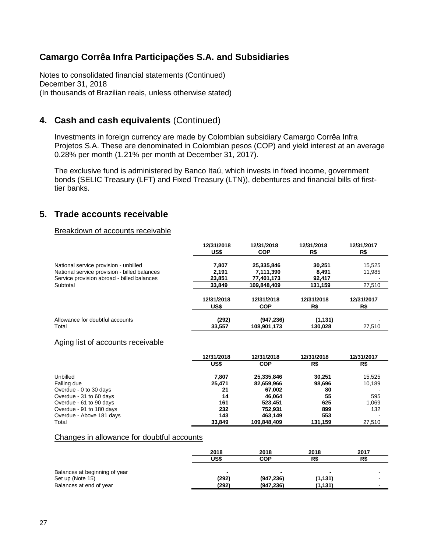Notes to consolidated financial statements (Continued) December 31, 2018 (In thousands of Brazilian reais, unless otherwise stated)

### **4. Cash and cash equivalents** (Continued)

Investments in foreign currency are made by Colombian subsidiary Camargo Corrêa Infra Projetos S.A. These are denominated in Colombian pesos (COP) and yield interest at an average 0.28% per month (1.21% per month at December 31, 2017).

The exclusive fund is administered by Banco Itaú, which invests in fixed income, government bonds (SELIC Treasury (LFT) and Fixed Treasury (LTN)), debentures and financial bills of firsttier banks.

### **5. Trade accounts receivable**

#### Breakdown of accounts receivable

|                                              | 12/31/2018 | 12/31/2018  | 12/31/2018 | 12/31/2017 |
|----------------------------------------------|------------|-------------|------------|------------|
|                                              | US\$       | <b>COP</b>  | R\$        | R\$        |
| National service provision - unbilled        | 7.807      | 25,335,846  | 30.251     | 15,525     |
| National service provision - billed balances | 2.191      | 7.111.390   | 8.491      | 11.985     |
| Service provision abroad - billed balances   | 23.851     | 77,401,173  | 92,417     |            |
| Subtotal                                     | 33,849     | 109,848,409 | 131,159    | 27,510     |
|                                              | 12/31/2018 | 12/31/2018  | 12/31/2018 | 12/31/2017 |
|                                              | US\$       | <b>COP</b>  | R\$        | R\$        |
| Allowance for doubtful accounts              | (292)      | (947.236)   | (1.131)    |            |
| Total                                        | 33,557     | 108,901,173 | 130,028    | 27,510     |
|                                              |            |             |            |            |

#### Aging list of accounts receivable

|                          | 12/31/2018 | 12/31/2018  | 12/31/2018 | 12/31/2017 |
|--------------------------|------------|-------------|------------|------------|
|                          | US\$       | <b>COP</b>  | R\$        | R\$        |
|                          |            |             |            |            |
| Unbilled                 | 7.807      | 25,335,846  | 30.251     | 15,525     |
| Falling due              | 25.471     | 82,659,966  | 98,696     | 10,189     |
| Overdue - 0 to 30 days   | 21         | 67.002      | 80         |            |
| Overdue - 31 to 60 days  | 14         | 46.064      | 55         | 595        |
| Overdue - 61 to 90 days  | 161        | 523.451     | 625        | 1,069      |
| Overdue - 91 to 180 days | 232        | 752.931     | 899        | 132        |
| Overdue - Above 181 days | 143        | 463.149     | 553        |            |
| Total                    | 33,849     | 109,848,409 | 131.159    | 27,510     |

#### Changes in allowance for doubtful accounts

|                               | 2018  | 2018       | 2018     | 2017                     |
|-------------------------------|-------|------------|----------|--------------------------|
|                               | US\$  | <b>COP</b> | R\$      | R\$                      |
| Balances at beginning of year | -     |            |          |                          |
| Set up (Note 15)              | (292) | (947.236)  | (1, 131) | $\overline{\phantom{a}}$ |
| Balances at end of year       | (292) | (947, 236) | (1, 131) | $\sim$                   |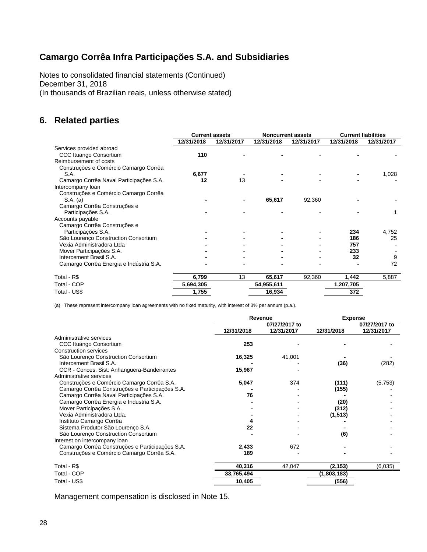Notes to consolidated financial statements (Continued) December 31, 2018 (In thousands of Brazilian reais, unless otherwise stated)

## **6. Related parties**

|                                                                                                                              | <b>Current assets</b> |            |            | <b>Noncurrent assets</b> |            | <b>Current liabilities</b> |
|------------------------------------------------------------------------------------------------------------------------------|-----------------------|------------|------------|--------------------------|------------|----------------------------|
|                                                                                                                              | 12/31/2018            | 12/31/2017 | 12/31/2018 | 12/31/2017               | 12/31/2018 | 12/31/2017                 |
| Services provided abroad<br><b>CCC Ituango Consortium</b><br>Reimbursement of costs<br>Construções e Comércio Camargo Corrêa | 110                   |            |            |                          |            |                            |
| S.A.                                                                                                                         | 6,677                 |            |            |                          |            | 1,028                      |
| Camargo Corrêa Naval Participações S.A.<br>Intercompany loan                                                                 | 12                    | 13         |            |                          |            |                            |
| Construções e Comércio Camargo Corrêa<br>S.A. (a)                                                                            |                       |            | 65,617     | 92,360                   |            |                            |
| Camargo Corrêa Construções e<br>Participações S.A.                                                                           |                       |            |            |                          |            |                            |
| Accounts payable<br>Camargo Corrêa Construções e                                                                             |                       |            |            |                          |            |                            |
| Participações S.A.                                                                                                           |                       |            |            |                          | 234        | 4,752                      |
| São Lourenço Construction Consortium                                                                                         |                       |            |            |                          | 186        | 25                         |
| Vexia Administradora Ltda                                                                                                    |                       |            |            |                          | 757        |                            |
| Mover Participações S.A.                                                                                                     |                       |            |            |                          | 233        |                            |
| Intercement Brasil S.A.                                                                                                      |                       |            |            |                          | 32         | 9                          |
| Camargo Corrêa Energia e Indústria S.A.                                                                                      |                       |            |            |                          |            | 72                         |
| Total - R\$                                                                                                                  | 6,799                 | 13         | 65,617     | 92,360                   | 1,442      | 5,887                      |
| Total - COP                                                                                                                  | 5,694,305             |            | 54,955,611 |                          | 1,207,705  |                            |
| Total - US\$                                                                                                                 | 1,755                 |            | 16,934     |                          | 372        |                            |

(a) These represent intercompany loan agreements with no fixed maturity, with interest of 3% per annum (p.a.).

|                                                 | Revenue    |               | <b>Expense</b> |               |
|-------------------------------------------------|------------|---------------|----------------|---------------|
|                                                 |            | 07/27/2017 to |                | 07/27/2017 to |
|                                                 | 12/31/2018 | 12/31/2017    | 12/31/2018     | 12/31/2017    |
| Administrative services                         |            |               |                |               |
| <b>CCC Ituango Consortium</b>                   | 253        |               |                |               |
| <b>Construction services</b>                    |            |               |                |               |
| São Lourenço Construction Consortium            | 16,325     | 41,001        |                |               |
| Intercement Brasil S.A.                         |            |               | (36)           | (282)         |
| CCR - Conces. Sist. Anhanguera-Bandeirantes     | 15,967     |               |                |               |
| Administrative services                         |            |               |                |               |
| Construções e Comércio Camargo Corrêa S.A.      | 5,047      | 374           | (111)          | (5,753)       |
| Camargo Corrêa Construções e Participações S.A. |            |               | (155)          |               |
| Camargo Corrêa Naval Participações S.A.         | 76         |               |                |               |
| Camargo Corrêa Energia e Industria S.A.         |            |               | (20)           |               |
| Mover Participações S.A.                        |            |               | (312)          |               |
| Vexia Administradora Ltda.                      |            |               | (1, 513)       |               |
| Instituto Camargo Corrêa                        |            |               |                |               |
| Sistema Produtor São Lourenço S.A.              | 22         |               |                |               |
| São Lourenço Construction Consortium            |            |               | (6)            |               |
| Interest on intercompany loan                   |            |               |                |               |
| Camargo Corrêa Construções e Participações S.A. | 2,433      | 672           |                |               |
| Construções e Comércio Camargo Corrêa S.A.      | 189        |               |                |               |
| Total - R\$                                     | 40,316     | 42,047        | (2, 153)       | (6,035)       |
| Total - COP                                     | 33,765,494 |               | (1,803,183)    |               |
| Total - US\$                                    | 10,405     |               | (556)          |               |

Management compensation is disclosed in Note 15.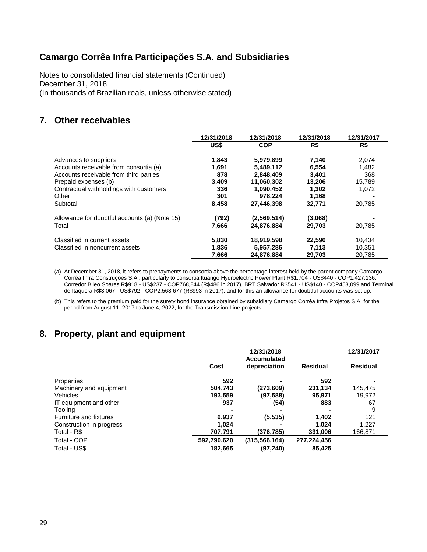Notes to consolidated financial statements (Continued) December 31, 2018 (In thousands of Brazilian reais, unless otherwise stated)

# **7. Other receivables**

|                                               | 12/31/2018 | 12/31/2018  | 12/31/2018 | 12/31/2017 |
|-----------------------------------------------|------------|-------------|------------|------------|
|                                               | US\$       | <b>COP</b>  | R\$        | R\$        |
| Advances to suppliers                         | 1,843      | 5,979,899   | 7,140      | 2,074      |
| Accounts receivable from consortia (a)        | 1,691      | 5,489,112   | 6,554      | 1,482      |
| Accounts receivable from third parties        | 878        | 2,848,409   | 3.401      | 368        |
| Prepaid expenses (b)                          | 3,409      | 11,060,302  | 13,206     | 15,789     |
| Contractual withholdings with customers       | 336        | 1,090,452   | 1,302      | 1,072      |
| Other                                         | 301        | 978.224     | 1,168      |            |
| Subtotal                                      | 8,458      | 27,446,398  | 32,771     | 20,785     |
| Allowance for doubtful accounts (a) (Note 15) | (792)      | (2,569,514) | (3,068)    |            |
| Total                                         | 7,666      | 24,876,884  | 29.703     | 20.785     |
| Classified in current assets                  | 5,830      | 18,919,598  | 22,590     | 10,434     |
| Classified in noncurrent assets               | 1,836      | 5,957,286   | 7,113      | 10,351     |
|                                               | 7,666      | 24.876.884  | 29,703     | 20.785     |

(a) At December 31, 2018, it refers to prepayments to consortia above the percentage interest held by the parent company Camargo Corrêa Infra Construções S.A., particularly to consortia Ituango Hydroelectric Power Plant R\$1,704 - US\$440 - COP1,427,136, Corredor Bileo Soares R\$918 - US\$237 - COP768,844 (R\$486 in 2017), BRT Salvador R\$541 - US\$140 - COP453,099 and Terminal de Itaquera R\$3,067 - US\$792 - COP2,568,677 (R\$993 in 2017), and for this an allowance for doubtful accounts was set up.

(b) This refers to the premium paid for the surety bond insurance obtained by subsidiary Camargo Corrêa Infra Projetos S.A. for the period from August 11, 2017 to June 4, 2022, for the Transmission Line projects.

# **8. Property, plant and equipment**

|                          |             | 12/31/2018      |                 | 12/31/2017      |
|--------------------------|-------------|-----------------|-----------------|-----------------|
|                          |             | Accumulated     |                 |                 |
|                          | Cost        | depreciation    | <b>Residual</b> | <b>Residual</b> |
| <b>Properties</b>        | 592         |                 | 592             |                 |
| Machinery and equipment  | 504,743     | (273,609)       | 231,134         | 145,475         |
| Vehicles                 | 193,559     | (97, 588)       | 95,971          | 19,972          |
| IT equipment and other   | 937         | (54)            | 883             | 67              |
| Tooling                  |             |                 |                 | 9               |
| Furniture and fixtures   | 6,937       | (5, 535)        | 1,402           | 121             |
| Construction in progress | 1.024       |                 | 1.024           | 1,227           |
| Total - R\$              | 707.791     | (376.785)       | 331,006         | 166.871         |
| Total - COP              | 592,790,620 | (315, 566, 164) | 277,224,456     |                 |
| Total - US\$             | 182,665     | (97,240)        | 85,425          |                 |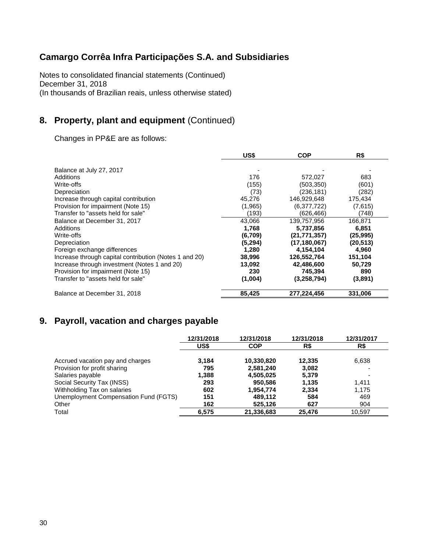Notes to consolidated financial statements (Continued) December 31, 2018 (In thousands of Brazilian reais, unless otherwise stated)

# **8. Property, plant and equipment** (Continued)

Changes in PP&E are as follows:

|                                                        | US\$    | <b>COP</b>     | R\$       |
|--------------------------------------------------------|---------|----------------|-----------|
| Balance at July 27, 2017                               |         |                |           |
| Additions                                              | 176     | 572,027        | 683       |
| Write-offs                                             | (155)   | (503,350)      | (601)     |
| Depreciation                                           | (73)    | (236,181)      | (282)     |
| Increase through capital contribution                  | 45,276  | 146,929,648    | 175,434   |
| Provision for impairment (Note 15)                     | (1,965) | (6,377,722)    | (7,615)   |
| Transfer to "assets held for sale"                     | (193)   | (626, 466)     | (748)     |
| Balance at December 31, 2017                           | 43,066  | 139,757,956    | 166,871   |
| Additions                                              | 1,768   | 5,737,856      | 6,851     |
| Write-offs                                             | (6,709) | (21, 771, 357) | (25, 995) |
| Depreciation                                           | (5,294) | (17, 180, 067) | (20, 513) |
| Foreign exchange differences                           | 1,280   | 4,154,104      | 4,960     |
| Increase through capital contribution (Notes 1 and 20) | 38,996  | 126,552,764    | 151,104   |
| Increase through investment (Notes 1 and 20)           | 13,092  | 42,486,600     | 50,729    |
| Provision for impairment (Note 15)                     | 230     | 745,394        | 890       |
| Transfer to "assets held for sale"                     | (1,004) | (3,258,794)    | (3,891)   |
| Balance at December 31, 2018                           | 85,425  | 277,224,456    | 331,006   |

### **9. Payroll, vacation and charges payable**

|                                       | 12/31/2018 | 12/31/2018 | 12/31/2018 | 12/31/2017 |
|---------------------------------------|------------|------------|------------|------------|
|                                       | US\$       | <b>COP</b> | R\$        | R\$        |
| Accrued vacation pay and charges      | 3,184      | 10,330,820 | 12,335     | 6,638      |
| Provision for profit sharing          | 795        | 2,581,240  | 3,082      |            |
| Salaries payable                      | 1,388      | 4,505,025  | 5,379      |            |
| Social Security Tax (INSS)            | 293        | 950,586    | 1,135      | 1.411      |
| Withholding Tax on salaries           | 602        | 1,954,774  | 2,334      | 1,175      |
| Unemployment Compensation Fund (FGTS) | 151        | 489.112    | 584        | 469        |
| Other                                 | 162        | 525,126    | 627        | 904        |
| Total                                 | 6,575      | 21,336,683 | 25,476     | 10,597     |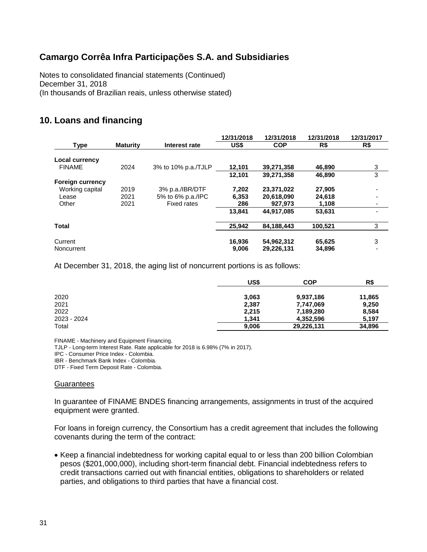Notes to consolidated financial statements (Continued) December 31, 2018 (In thousands of Brazilian reais, unless otherwise stated)

# **10. Loans and financing**

|                         |                 |                     | 12/31/2018 | 12/31/2018 | 12/31/2018 | 12/31/2017 |
|-------------------------|-----------------|---------------------|------------|------------|------------|------------|
| <b>Type</b>             | <b>Maturity</b> | Interest rate       | US\$       | <b>COP</b> | R\$        | R\$        |
|                         |                 |                     |            |            |            |            |
| Local currency          |                 |                     |            |            |            |            |
| <b>FINAME</b>           | 2024            | 3% to 10% p.a./TJLP | 12,101     | 39,271,358 | 46,890     | 3          |
|                         |                 |                     | 12.101     | 39,271,358 | 46,890     | 3          |
| <b>Foreign currency</b> |                 |                     |            |            |            |            |
| Working capital         | 2019            | 3% p.a./IBR/DTF     | 7,202      | 23,371,022 | 27.905     |            |
| Lease                   | 2021            | 5% to 6% p.a./IPC   | 6,353      | 20.618.090 | 24,618     |            |
| Other                   | 2021            | <b>Fixed rates</b>  | 286        | 927,973    | 1,108      |            |
|                         |                 |                     | 13.841     | 44.917.085 | 53,631     |            |
| <b>Total</b>            |                 |                     | 25.942     | 84.188.443 | 100,521    | 3          |
|                         |                 |                     |            |            |            |            |
| Current                 |                 |                     | 16,936     | 54,962,312 | 65,625     | 3          |
| Noncurrent              |                 |                     | 9,006      | 29,226,131 | 34,896     |            |

At December 31, 2018, the aging list of noncurrent portions is as follows:

|             | US\$  | <b>COP</b> | R\$    |
|-------------|-------|------------|--------|
|             |       |            |        |
| 2020        | 3,063 | 9,937,186  | 11,865 |
| 2021        | 2,387 | 7,747,069  | 9,250  |
| 2022        | 2,215 | 7,189,280  | 8,584  |
| 2023 - 2024 | 1,341 | 4,352,596  | 5,197  |
| Total       | 9.006 | 29,226,131 | 34,896 |

FINAME - Machinery and Equipment Financing.

TJLP - Long-term Interest Rate. Rate applicable for 2018 is 6.98% (7% in 2017).

IPC - Consumer Price Index - Colombia.

IBR - Benchmark Bank Index - Colombia.

DTF - Fixed Term Deposit Rate - Colombia.

#### **Guarantees**

In guarantee of FINAME BNDES financing arrangements, assignments in trust of the acquired equipment were granted.

For loans in foreign currency, the Consortium has a credit agreement that includes the following covenants during the term of the contract:

• Keep a financial indebtedness for working capital equal to or less than 200 billion Colombian pesos (\$201,000,000), including short-term financial debt. Financial indebtedness refers to credit transactions carried out with financial entities, obligations to shareholders or related parties, and obligations to third parties that have a financial cost.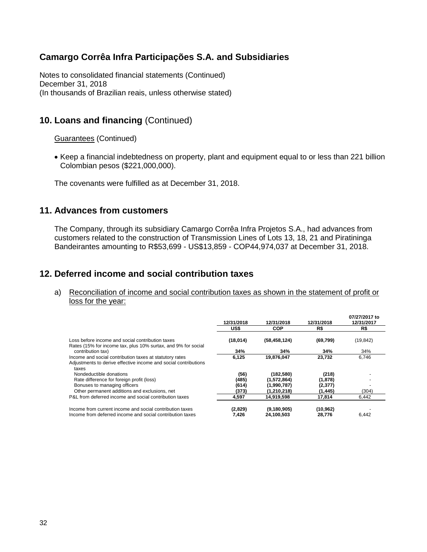Notes to consolidated financial statements (Continued) December 31, 2018 (In thousands of Brazilian reais, unless otherwise stated)

### **10. Loans and financing** (Continued)

Guarantees (Continued)

• Keep a financial indebtedness on property, plant and equipment equal to or less than 221 billion Colombian pesos (\$221,000,000).

The covenants were fulfilled as at December 31, 2018.

### **11. Advances from customers**

The Company, through its subsidiary Camargo Corrêa Infra Projetos S.A., had advances from customers related to the construction of Transmission Lines of Lots 13, 18, 21 and Piratininga Bandeirantes amounting to R\$53,699 - US\$13,859 - COP44,974,037 at December 31, 2018.

### **12. Deferred income and social contribution taxes**

#### a) Reconciliation of income and social contribution taxes as shown in the statement of profit or loss for the year:

|                                                                                                                                     | 12/31/2018<br>US\$ | 12/31/2018<br><b>COP</b>    | 12/31/2018<br>R\$   | 07/27/2017 to<br>12/31/2017<br>R\$ |
|-------------------------------------------------------------------------------------------------------------------------------------|--------------------|-----------------------------|---------------------|------------------------------------|
| Loss before income and social contribution taxes<br>Rates (15% for income tax, plus 10% surtax, and 9% for social                   | (18,014)           | (58, 458, 124)              | (69, 799)           | (19, 842)                          |
| contribution tax)                                                                                                                   | 34%                | 34%                         | 34%                 | 34%                                |
| Income and social contribution taxes at statutory rates<br>Adjustments to derive effective income and social contributions<br>taxes | 6,125              | 19,876,047                  | 23,732              | 6.746                              |
| Nondeductible donations                                                                                                             | (56)               | (182, 580)                  | (218)               |                                    |
| Rate difference for foreign profit (loss)                                                                                           | (485)              | (1,572,864)                 | (1, 878)            |                                    |
| Bonuses to managing officers                                                                                                        | (614)              | (1,990,787)                 | (2, 377)            |                                    |
| Other permanent additions and exclusions, net                                                                                       | (373)              | (1, 210, 218)               | (1, 445)            | (304)                              |
| P&L from deferred income and social contribution taxes                                                                              | 4,597              | 14,919,598                  | 17,814              | 6,442                              |
| Income from current income and social contribution taxes<br>Income from deferred income and social contribution taxes               | (2,829)<br>7.426   | (9, 180, 905)<br>24,100,503 | (10, 962)<br>28.776 | 6.442                              |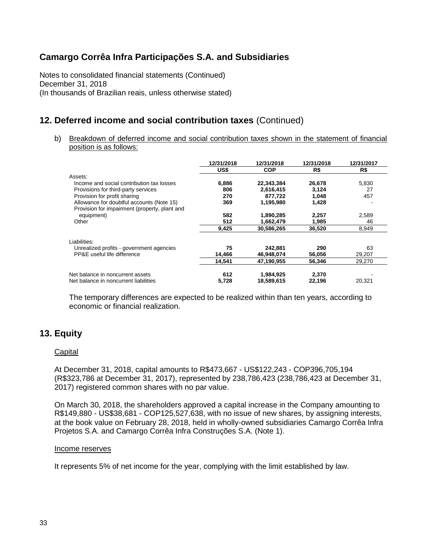Notes to consolidated financial statements (Continued) December 31, 2018 (In thousands of Brazilian reais, unless otherwise stated)

# **12. Deferred income and social contribution taxes** (Continued)

b) Breakdown of deferred income and social contribution taxes shown in the statement of financial position is as follows:

|                                               | 12/31/2018<br>US\$ | 12/31/2018<br><b>COP</b> | 12/31/2018<br>R\$ | 12/31/2017<br>R\$ |
|-----------------------------------------------|--------------------|--------------------------|-------------------|-------------------|
| Assets:                                       |                    |                          |                   |                   |
| Income and social contribution tax losses     | 6,886              | 22,343,384               | 26,678            | 5,830             |
| Provisions for third-party services           | 806                | 2,616,415                | 3,124             | 27                |
| Provision for profit sharing                  | 270                | 877,722                  | 1,048             | 457               |
| Allowance for doubtful accounts (Note 15)     | 369                | 1,195,980                | 1,428             |                   |
| Provision for impairment (property, plant and |                    |                          |                   |                   |
| equipment)                                    | 582                | 1,890,285                | 2,257             | 2,589             |
| Other                                         | 512                | 1,662,479                | 1,985             | 46                |
|                                               | 9,425              | 30,586,265               | 36,520            | 8,949             |
| Liabilities:                                  |                    |                          |                   |                   |
| Unrealized profits - government agencies      | 75                 | 242.881                  | 290               | 63                |
| PP&E useful life difference                   | 14,466             | 46.948.074               | 56,056            | 29,207            |
|                                               | 14.541             | 47.190.955               | 56,346            | 29.270            |
| Net balance in noncurrent assets              | 612                | 1,984,925                | 2.370             |                   |
| Net balance in noncurrent liabilities         | 5.728              | 18.589.615               | 22.196            | 20.321            |

The temporary differences are expected to be realized within than ten years, according to economic or financial realization.

# **13. Equity**

#### **Capital**

At December 31, 2018, capital amounts to R\$473,667 - US\$122,243 - COP396,705,194 (R\$323,786 at December 31, 2017), represented by 238,786,423 (238,786,423 at December 31, 2017) registered common shares with no par value.

On March 30, 2018, the shareholders approved a capital increase in the Company amounting to R\$149,880 - US\$38,681 - COP125,527,638, with no issue of new shares, by assigning interests, at the book value on February 28, 2018, held in wholly-owned subsidiaries Camargo Corrêa Infra Projetos S.A. and Camargo Corrêa Infra Construções S.A. (Note 1).

#### Income reserves

It represents 5% of net income for the year, complying with the limit established by law.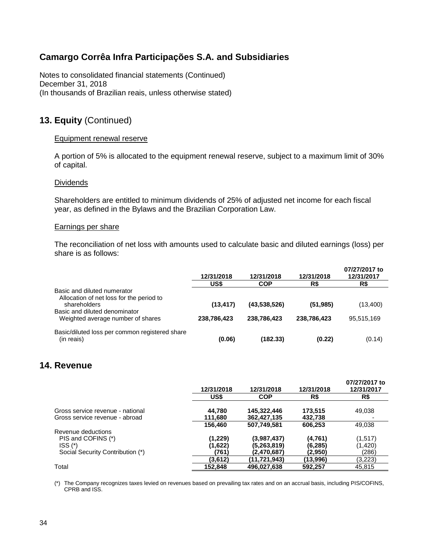Notes to consolidated financial statements (Continued) December 31, 2018 (In thousands of Brazilian reais, unless otherwise stated)

### **13. Equity** (Continued)

#### Equipment renewal reserve

A portion of 5% is allocated to the equipment renewal reserve, subject to a maximum limit of 30% of capital.

#### **Dividends**

Shareholders are entitled to minimum dividends of 25% of adjusted net income for each fiscal year, as defined in the Bylaws and the Brazilian Corporation Law.

#### Earnings per share

The reconciliation of net loss with amounts used to calculate basic and diluted earnings (loss) per share is as follows:

|                                                                         | 12/31/2018  | 12/31/2018   | 12/31/2018  | 07/27/2017 to<br>12/31/2017 |
|-------------------------------------------------------------------------|-------------|--------------|-------------|-----------------------------|
|                                                                         | US\$        | <b>COP</b>   | R\$         | R\$                         |
| Basic and diluted numerator<br>Allocation of net loss for the period to |             |              |             |                             |
| shareholders                                                            | (13, 417)   | (43,538,526) | (51, 985)   | (13,400)                    |
| Basic and diluted denominator                                           |             |              |             |                             |
| Weighted average number of shares                                       | 238,786,423 | 238,786,423  | 238,786,423 | 95,515,169                  |
| Basic/diluted loss per common registered share<br>(in reais)            | (0.06)      | (182.33)     | (0.22)      | (0.14)                      |

### **14. Revenue**

|                                  | 12/31/2018 | 12/31/2018   | 12/31/2018 | 07/27/2017 to<br>12/31/2017 |
|----------------------------------|------------|--------------|------------|-----------------------------|
|                                  | US\$       | <b>COP</b>   | R\$        | R\$                         |
| Gross service revenue - national | 44.780     | 145,322,446  | 173,515    | 49,038                      |
| Gross service revenue - abroad   | 111,680    | 362,427,135  | 432,738    |                             |
|                                  | 156.460    | 507.749.581  | 606,253    | 49.038                      |
| Revenue deductions               |            |              |            |                             |
| PIS and COFINS (*)               | (1,229)    | (3,987,437)  | (4,761)    | (1,517)                     |
| $ISS(*)$                         | (1,622)    | (5,263,819)  | (6,285)    | (1,420)                     |
| Social Security Contribution (*) | (761)      | (2,470,687)  | (2,950)    | (286)                       |
|                                  | (3,612)    | (11,721,943) | (13,996)   | (3,223)                     |
| Total                            | 152.848    | 496.027.638  | 592.257    | 45.815                      |

(\*) The Company recognizes taxes levied on revenues based on prevailing tax rates and on an accrual basis, including PIS/COFINS, CPRB and ISS.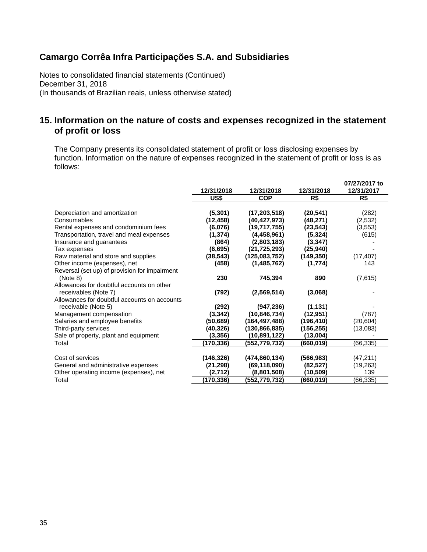Notes to consolidated financial statements (Continued) December 31, 2018 (In thousands of Brazilian reais, unless otherwise stated)

### **15. Information on the nature of costs and expenses recognized in the statement of profit or loss**

The Company presents its consolidated statement of profit or loss disclosing expenses by function. Information on the nature of expenses recognized in the statement of profit or loss is as follows:

|                                               |            |                 |            | 07/27/2017 to |
|-----------------------------------------------|------------|-----------------|------------|---------------|
|                                               | 12/31/2018 | 12/31/2018      | 12/31/2018 | 12/31/2017    |
|                                               | US\$       | <b>COP</b>      | R\$        | R\$           |
| Depreciation and amortization                 | (5, 301)   | (17, 203, 518)  | (20, 541)  | (282)         |
| Consumables                                   | (12, 458)  | (40,427,973)    | (48, 271)  | (2,532)       |
| Rental expenses and condominium fees          | (6,076)    | (19,717,755)    | (23, 543)  | (3, 553)      |
| Transportation, travel and meal expenses      | (1, 374)   | (4,458,961)     | (5, 324)   | (615)         |
| Insurance and guarantees                      | (864)      | (2,803,183)     | (3, 347)   |               |
| Tax expenses                                  | (6,695)    | (21, 725, 293)  | (25, 940)  |               |
| Raw material and store and supplies           | (38, 543)  | (125,083,752)   | (149, 350) | (17, 407)     |
| Other income (expenses), net                  | (458)      | (1,485,762)     | (1,774)    | 143           |
| Reversal (set up) of provision for impairment |            |                 |            |               |
| (Note 8)                                      | 230        | 745,394         | 890        | (7,615)       |
| Allowances for doubtful accounts on other     |            |                 |            |               |
| receivables (Note 7)                          | (792)      | (2,569,514)     | (3,068)    |               |
| Allowances for doubtful accounts on accounts  |            |                 |            |               |
| receivable (Note 5)                           | (292)      | (947, 236)      | (1, 131)   |               |
| Management compensation                       | (3, 342)   | (10, 846, 734)  | (12, 951)  | (787)         |
| Salaries and employee benefits                | (50, 689)  | (164, 497, 488) | (196, 410) | (20, 604)     |
| Third-party services                          | (40, 326)  | (130, 866, 835) | (156, 255) | (13,083)      |
| Sale of property, plant and equipment         | (3,356)    | (10,891,122)    | (13,004)   |               |
| Total                                         | (170,336)  | (552,779,732)   | (660,019)  | (66,335)      |
|                                               |            |                 |            |               |
| Cost of services                              | (146, 326) | (474, 860, 134) | (566, 983) | (47, 211)     |
| General and administrative expenses           | (21, 298)  | (69, 118, 090)  | (82, 527)  | (19,263)      |
| Other operating income (expenses), net        | (2, 712)   | (8,801,508)     | (10, 509)  | 139           |
| Total                                         | (170,336)  | (552,779,732)   | (660,019)  | (66, 335)     |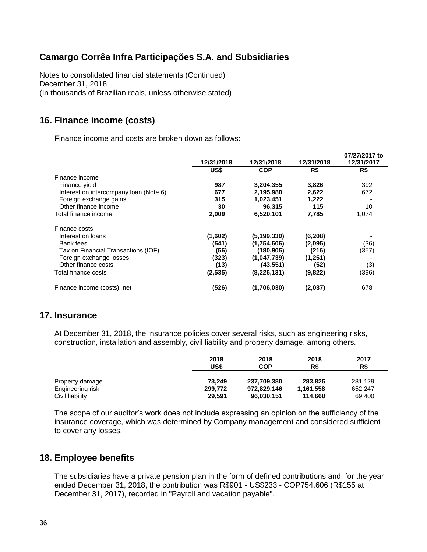Notes to consolidated financial statements (Continued) December 31, 2018 (In thousands of Brazilian reais, unless otherwise stated)

# **16. Finance income (costs)**

Finance income and costs are broken down as follows:

|                                        |            |               |            | 07/27/2017 to |
|----------------------------------------|------------|---------------|------------|---------------|
|                                        | 12/31/2018 | 12/31/2018    | 12/31/2018 | 12/31/2017    |
|                                        | US\$       | <b>COP</b>    | R\$        | R\$           |
| Finance income                         |            |               |            |               |
| Finance yield                          | 987        | 3,204,355     | 3,826      | 392           |
| Interest on intercompany loan (Note 6) | 677        | 2,195,980     | 2,622      | 672           |
| Foreign exchange gains                 | 315        | 1,023,451     | 1,222      |               |
| Other finance income                   | 30         | 96,315        | 115        | 10            |
| Total finance income                   | 2,009      | 6,520,101     | 7,785      | 1,074         |
| Finance costs                          |            |               |            |               |
| Interest on loans                      | (1,602)    | (5, 199, 330) | (6, 208)   |               |
| Bank fees                              | (541)      | (1,754,606)   | (2.095)    | (36)          |
| Tax on Financial Transactions (IOF)    | (56)       | (180, 905)    | (216)      | (357)         |
| Foreign exchange losses                | (323)      | (1,047,739)   | (1,251)    |               |
| Other finance costs                    | (13)       | (43,551)      | (52)       | (3)           |
| Total finance costs                    | (2, 535)   | (8, 226, 131) | (9,822)    | (396)         |
|                                        |            |               |            |               |
| Finance income (costs), net            | (526)      | (1,706,030)   | (2.037)    | 678           |

### **17. Insurance**

At December 31, 2018, the insurance policies cover several risks, such as engineering risks, construction, installation and assembly, civil liability and property damage, among others.

|                  | 2018    | 2018        | 2018      | 2017    |
|------------------|---------|-------------|-----------|---------|
|                  | US\$    | <b>COP</b>  | R\$       | R\$     |
|                  |         |             |           |         |
| Property damage  | 73.249  | 237,709,380 | 283.825   | 281.129 |
| Engineering risk | 299.772 | 972,829,146 | 1.161.558 | 652.247 |
| Civil liability  | 29,591  | 96,030,151  | 114.660   | 69.400  |

The scope of our auditor's work does not include expressing an opinion on the sufficiency of the insurance coverage, which was determined by Company management and considered sufficient to cover any losses.

### **18. Employee benefits**

The subsidiaries have a private pension plan in the form of defined contributions and, for the year ended December 31, 2018, the contribution was R\$901 - US\$233 - COP754,606 (R\$155 at December 31, 2017), recorded in "Payroll and vacation payable".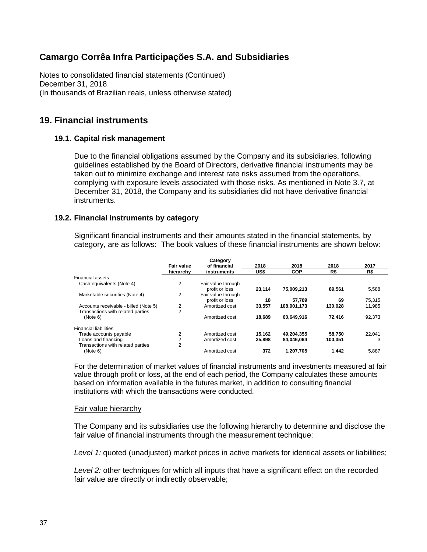Notes to consolidated financial statements (Continued) December 31, 2018 (In thousands of Brazilian reais, unless otherwise stated)

### **19. Financial instruments**

#### **19.1. Capital risk management**

Due to the financial obligations assumed by the Company and its subsidiaries, following guidelines established by the Board of Directors, derivative financial instruments may be taken out to minimize exchange and interest rate risks assumed from the operations, complying with exposure levels associated with those risks. As mentioned in Note 3.7, at December 31, 2018, the Company and its subsidiaries did not have derivative financial instruments.

### **19.2. Financial instruments by category**

Significant financial instruments and their amounts stated in the financial statements, by category, are as follows: The book values of these financial instruments are shown below:

|                                       |                | Category           |        |             |         |        |
|---------------------------------------|----------------|--------------------|--------|-------------|---------|--------|
|                                       | Fair value     | of financial       | 2018   | 2018        | 2018    | 2017   |
|                                       | hierarchy      | instruments        | US\$   | <b>COP</b>  | R\$     | R\$    |
| Financial assets                      |                |                    |        |             |         |        |
| Cash equivalents (Note 4)             | 2              | Fair value through |        |             |         |        |
|                                       |                | profit or loss     | 23.114 | 75,009,213  | 89.561  | 5,588  |
| Marketable securities (Note 4)        | 2              | Fair value through |        |             |         |        |
|                                       |                | profit or loss     | 18     | 57.789      | 69      | 75.315 |
| Accounts receivable - billed (Note 5) | 2              | Amortized cost     | 33,557 | 108,901,173 | 130.028 | 11,985 |
| Transactions with related parties     | 2              |                    |        |             |         |        |
| (Note 6)                              |                | Amortized cost     | 18.689 | 60,649,916  | 72.416  | 92,373 |
| <b>Financial liabilities</b>          |                |                    |        |             |         |        |
| Trade accounts payable                |                | Amortized cost     | 15.162 | 49,204,355  | 58.750  | 22.041 |
| Loans and financing                   | 2              | Amortized cost     | 25,898 | 84,046,064  | 100.351 | 3      |
| Transactions with related parties     | $\overline{2}$ |                    |        |             |         |        |
| (Note 6)                              |                | Amortized cost     | 372    | 1.207.705   | 1.442   | 5.887  |

For the determination of market values of financial instruments and investments measured at fair value through profit or loss, at the end of each period, the Company calculates these amounts based on information available in the futures market, in addition to consulting financial institutions with which the transactions were conducted.

#### Fair value hierarchy

The Company and its subsidiaries use the following hierarchy to determine and disclose the fair value of financial instruments through the measurement technique:

*Level 1:* quoted (unadjusted) market prices in active markets for identical assets or liabilities;

*Level 2:* other techniques for which all inputs that have a significant effect on the recorded fair value are directly or indirectly observable;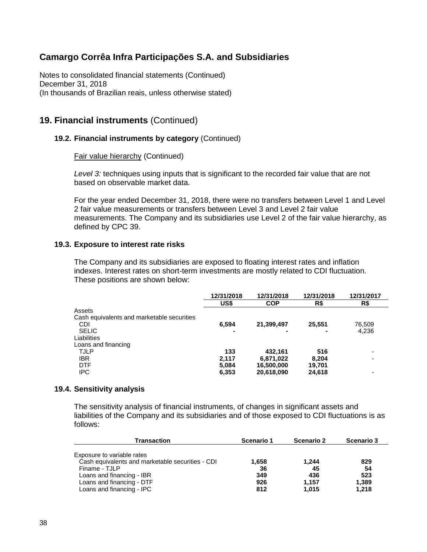Notes to consolidated financial statements (Continued) December 31, 2018 (In thousands of Brazilian reais, unless otherwise stated)

### **19. Financial instruments** (Continued)

#### **19.2. Financial instruments by category** (Continued)

Fair value hierarchy (Continued)

Level 3: techniques using inputs that is significant to the recorded fair value that are not based on observable market data.

For the year ended December 31, 2018, there were no transfers between Level 1 and Level 2 fair value measurements or transfers between Level 3 and Level 2 fair value measurements. The Company and its subsidiaries use Level 2 of the fair value hierarchy, as defined by CPC 39.

#### **19.3. Exposure to interest rate risks**

The Company and its subsidiaries are exposed to floating interest rates and inflation indexes. Interest rates on short-term investments are mostly related to CDI fluctuation. These positions are shown below:

|                                            | 12/31/2018 | 12/31/2018 | 12/31/2018 | 12/31/2017 |
|--------------------------------------------|------------|------------|------------|------------|
|                                            | US\$       | <b>COP</b> | R\$        | R\$        |
| Assets                                     |            |            |            |            |
| Cash equivalents and marketable securities |            |            |            |            |
| CDI                                        | 6.594      | 21,399,497 | 25.551     | 76,509     |
| <b>SELIC</b>                               |            | -          |            | 4,236      |
| Liabilities                                |            |            |            |            |
| Loans and financing                        |            |            |            |            |
| TJLP                                       | 133        | 432.161    | 516        |            |
| <b>IBR</b>                                 | 2.117      | 6,871,022  | 8.204      |            |
| <b>DTF</b>                                 | 5,084      | 16,500,000 | 19.701     |            |
| <b>IPC</b>                                 | 6,353      | 20,618,090 | 24,618     |            |

#### **19.4. Sensitivity analysis**

The sensitivity analysis of financial instruments, of changes in significant assets and liabilities of the Company and its subsidiaries and of those exposed to CDI fluctuations is as follows:

| <b>Transaction</b>                                                                                                                                                                     | Scenario 1                       | <b>Scenario 2</b>                    | Scenario 3                         |
|----------------------------------------------------------------------------------------------------------------------------------------------------------------------------------------|----------------------------------|--------------------------------------|------------------------------------|
| Exposure to variable rates<br>Cash equivalents and marketable securities - CDI<br>Finame - TJLP<br>Loans and financing - IBR<br>Loans and financing - DTF<br>Loans and financing - IPC | 1.658<br>36<br>349<br>926<br>812 | 1.244<br>45<br>436<br>1.157<br>1.015 | 829<br>54<br>523<br>1,389<br>1.218 |